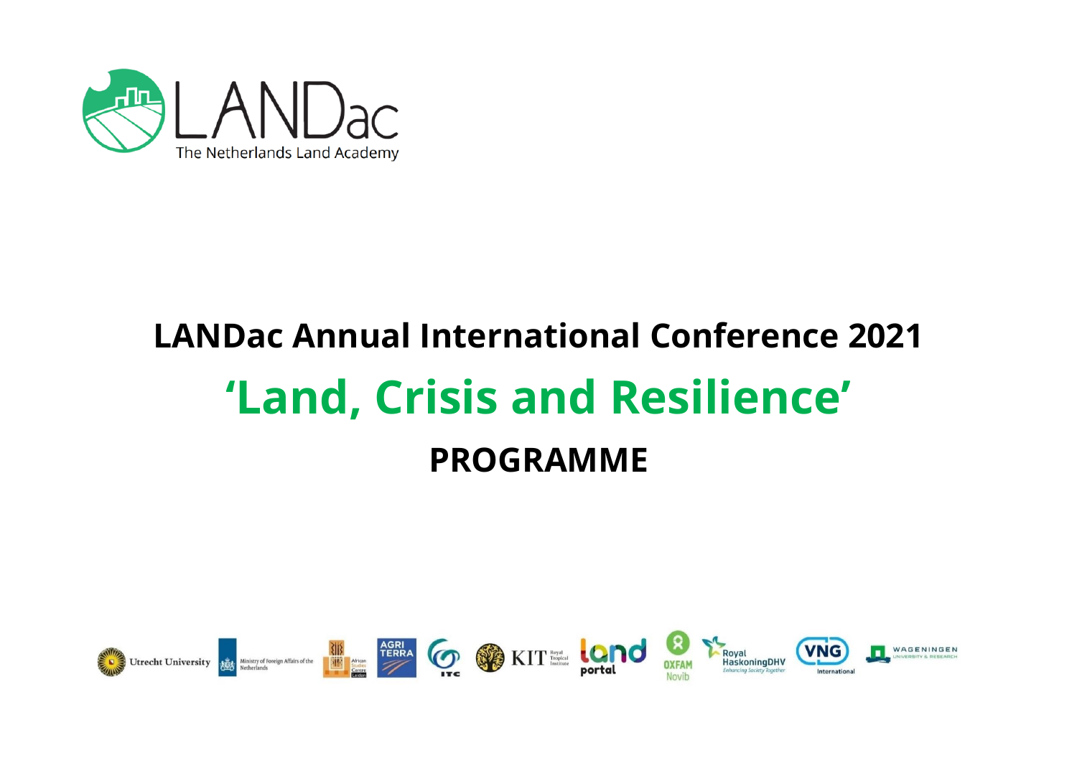

# **LANDac Annual International Conference 2021 'Land, Crisis and Resilience' PROGRAMME**

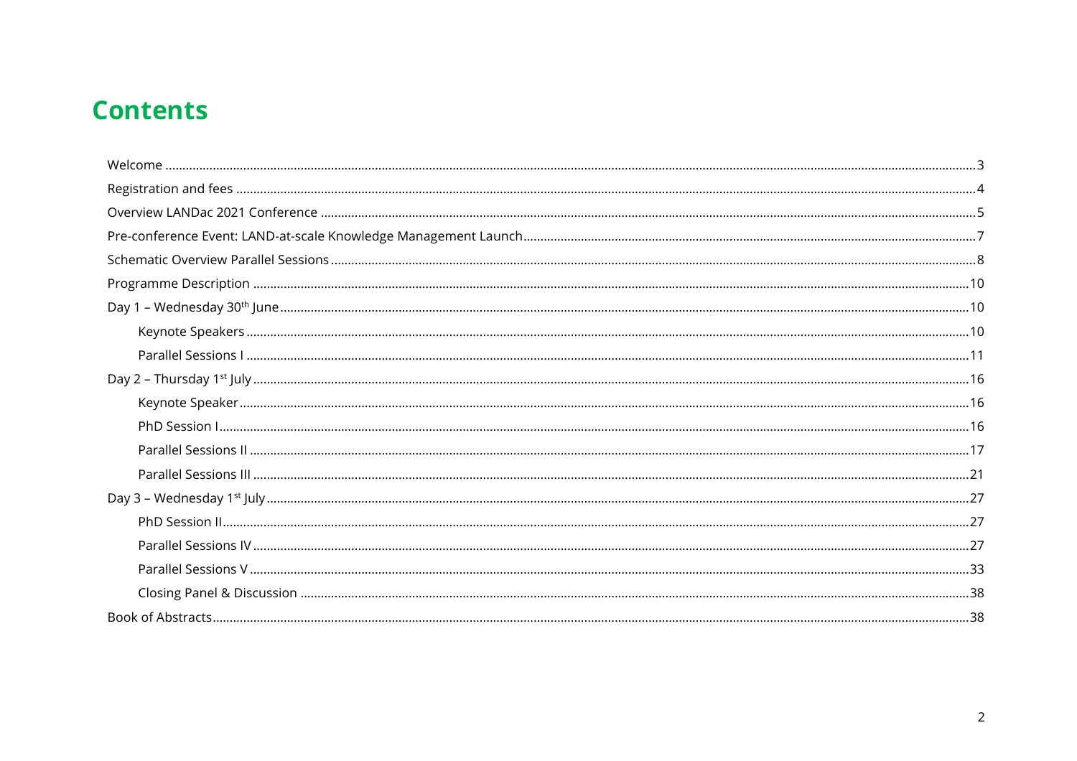# **Contents**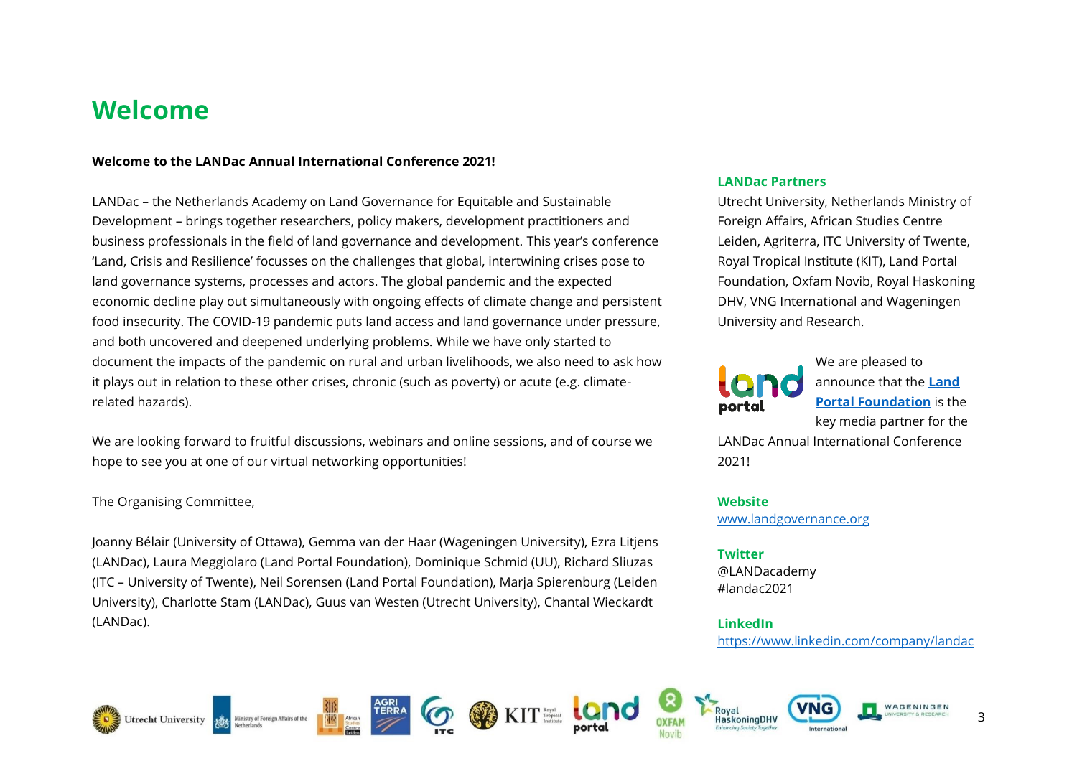# <span id="page-2-0"></span>**Welcome**

#### **Welcome to the LANDac Annual International Conference 2021!**

LANDac – the Netherlands Academy on Land Governance for Equitable and Sustainable Development – brings together researchers, policy makers, development practitioners and business professionals in the field of land governance and development. This year's conference 'Land, Crisis and Resilience' focusses on the challenges that global, intertwining crises pose to land governance systems, processes and actors. The global pandemic and the expected economic decline play out simultaneously with ongoing effects of climate change and persistent food insecurity. The COVID-19 pandemic puts land access and land governance under pressure, and both uncovered and deepened underlying problems. While we have only started to document the impacts of the pandemic on rural and urban livelihoods, we also need to ask how it plays out in relation to these other crises, chronic (such as poverty) or acute (e.g. climaterelated hazards).

We are looking forward to fruitful discussions, webinars and online sessions, and of course we hope to see you at one of our virtual networking opportunities!

#### The Organising Committee,

Joanny Bélair (University of Ottawa), Gemma van der Haar (Wageningen University), Ezra Litjens (LANDac), Laura Meggiolaro (Land Portal Foundation), Dominique Schmid (UU), Richard Sliuzas (ITC – University of Twente), Neil Sorensen (Land Portal Foundation), Marja Spierenburg (Leiden University), Charlotte Stam (LANDac), Guus van Westen (Utrecht University), Chantal Wieckardt (LANDac).

#### **LANDac Partners**

Utrecht University, Netherlands Ministry of Foreign Affairs, African Studies Centre Leiden, Agriterra, ITC University of Twente, Royal Tropical Institute (KIT), Land Portal Foundation, Oxfam Novib, Royal Haskoning DHV, VNG International and Wageningen University and Research.



We are pleased to announce that the **[Land](https://landportal.org/)  [Portal Foundation](https://landportal.org/)** is the key media partner for the

LANDac Annual International Conference 2021!

**Website** [www.landgovernance.org](http://www.landgovernance.org/)

#### **Twitter**

@LANDacademy #landac2021

### **LinkedIn**

<https://www.linkedin.com/company/landac>













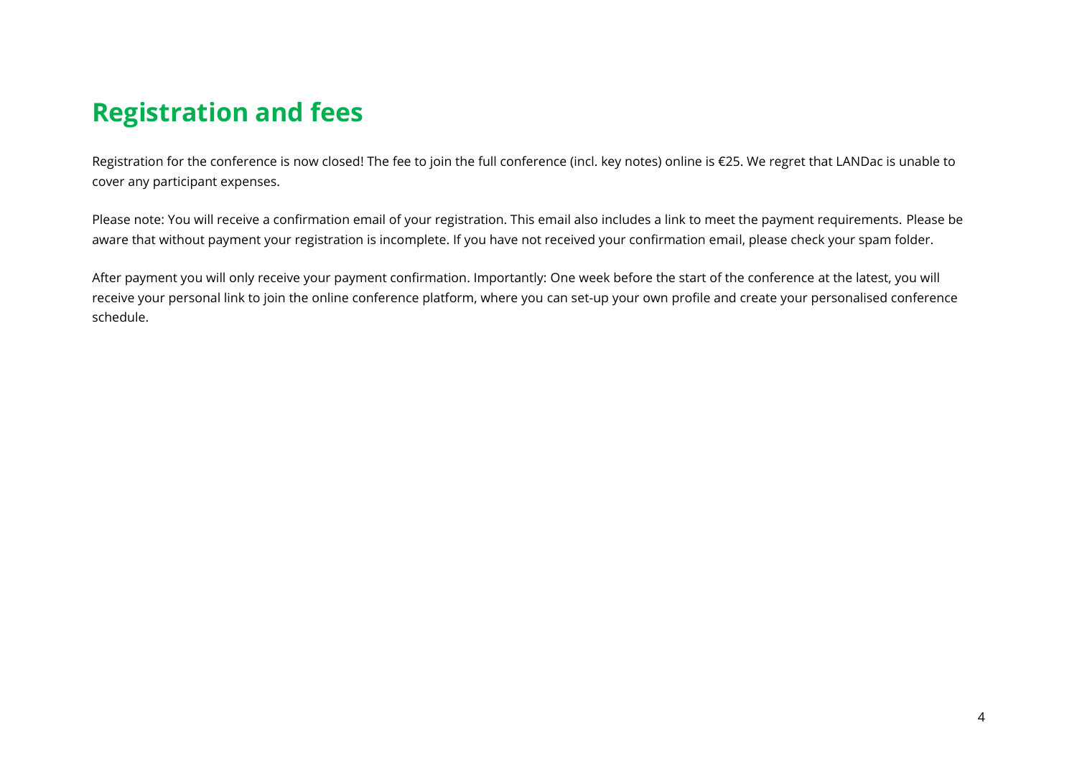# <span id="page-3-0"></span>**Registration and fees**

Registration for the conference is now closed! The fee to join the full conference (incl. key notes) online is €25. We regret that LANDac is unable to cover any participant expenses.

Please note: You will receive a confirmation email of your registration. This email also includes a link to meet the payment requirements. Please be aware that without payment your registration is incomplete. If you have not received your confirmation email, please check your spam folder.

After payment you will only receive your payment confirmation. Importantly: One week before the start of the conference at the latest, you will receive your personal link to join the online conference platform, where you can set-up your own profile and create your personalised conference schedule.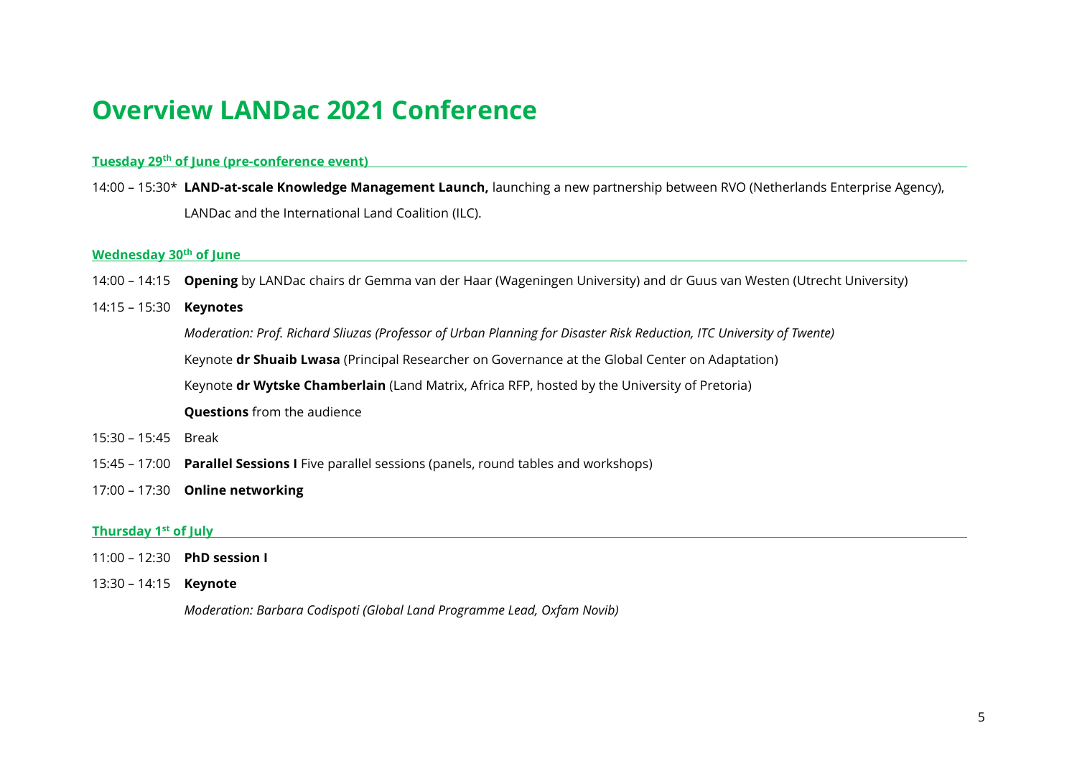# <span id="page-4-0"></span>**Overview LANDac 2021 Conference**

#### **Tuesday 29th of June (pre-conference event)**

14:00 – 15:30\* **LAND-at-scale Knowledge Management Launch,** launching a new partnership between RVO (Netherlands Enterprise Agency), LANDac and the International Land Coalition (ILC).

#### **Wednesday 30th of June**

- 14:00 14:15 **Opening** by LANDac chairs dr Gemma van der Haar (Wageningen University) and dr Guus van Westen (Utrecht University)
- 14:15 15:30 **Keynotes**

*Moderation: Prof. Richard Sliuzas (Professor of Urban Planning for Disaster Risk Reduction, ITC University of Twente)*

Keynote **dr Shuaib Lwasa** (Principal Researcher on Governance at the Global Center on Adaptation)

Keynote **dr Wytske Chamberlain** (Land Matrix, Africa RFP, hosted by the University of Pretoria)

**Questions** from the audience

- 15:30 15:45 Break
- 15:45 17:00 **Parallel Sessions I** Five parallel sessions (panels, round tables and workshops)
- 17:00 17:30 **Online networking**

#### **Thursday 1st of July**

- 11:00 12:30 **PhD session I**
- 13:30 14:15 **Keynote**

*Moderation: Barbara Codispoti (Global Land Programme Lead, Oxfam Novib)*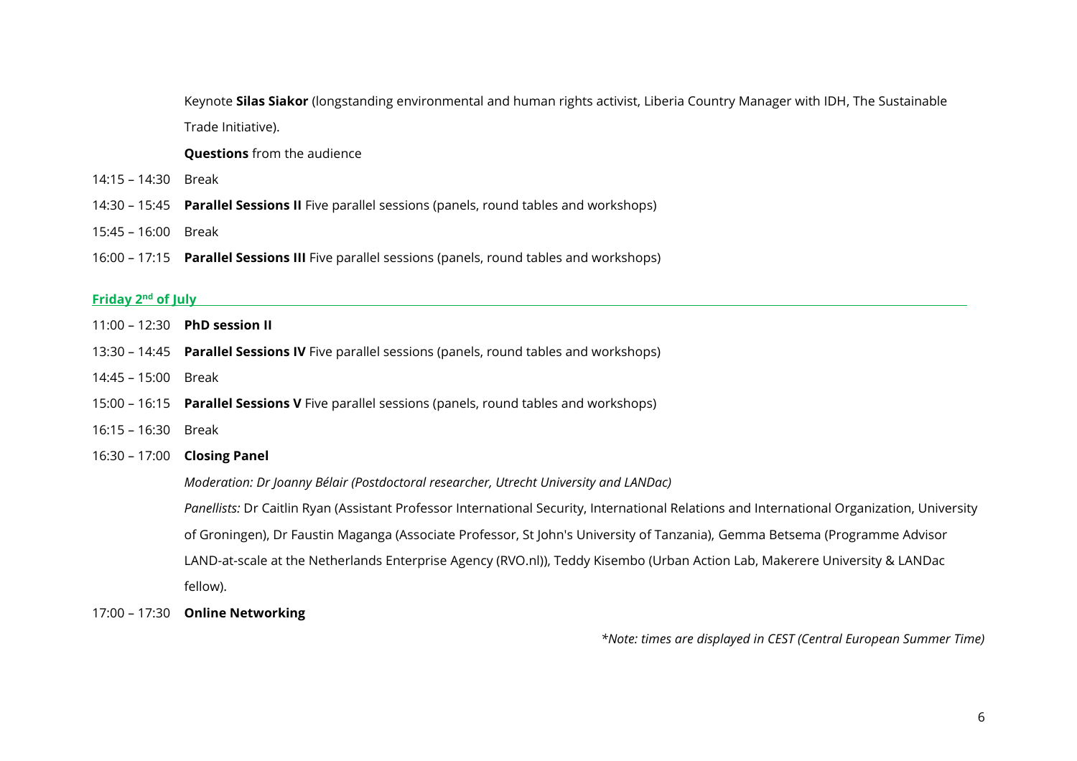Keynote **Silas Siakor** (longstanding environmental and human rights activist, Liberia Country Manager with IDH, The Sustainable Trade Initiative).

**Questions** from the audience

- 14:15 14:30 Break
- 14:30 15:45 **Parallel Sessions II** Five parallel sessions (panels, round tables and workshops)
- 15:45 16:00 Break
- 16:00 17:15 **Parallel Sessions III** Five parallel sessions (panels, round tables and workshops)

#### **Friday** 2<sup>nd</sup> of July

- 11:00 12:30 **PhD session II**
- 13:30 14:45 **Parallel Sessions IV** Five parallel sessions (panels, round tables and workshops)
- 14:45 15:00 Break
- 15:00 16:15 **Parallel Sessions V** Five parallel sessions (panels, round tables and workshops)
- 16:15 16:30 Break

#### 16:30 – 17:00 **Closing Panel**

*Moderation: Dr Joanny Bélair (Postdoctoral researcher, Utrecht University and LANDac)*

*Panellists:* Dr Caitlin Ryan (Assistant Professor International Security, International Relations and International Organization, University of Groningen), Dr Faustin Maganga (Associate Professor, St John's University of Tanzania), Gemma Betsema (Programme Advisor LAND-at-scale at the Netherlands Enterprise Agency (RVO.nl)), Teddy Kisembo (Urban Action Lab, Makerere University & LANDac fellow).

17:00 – 17:30 **Online Networking** 

*\*Note: times are displayed in CEST (Central European Summer Time)*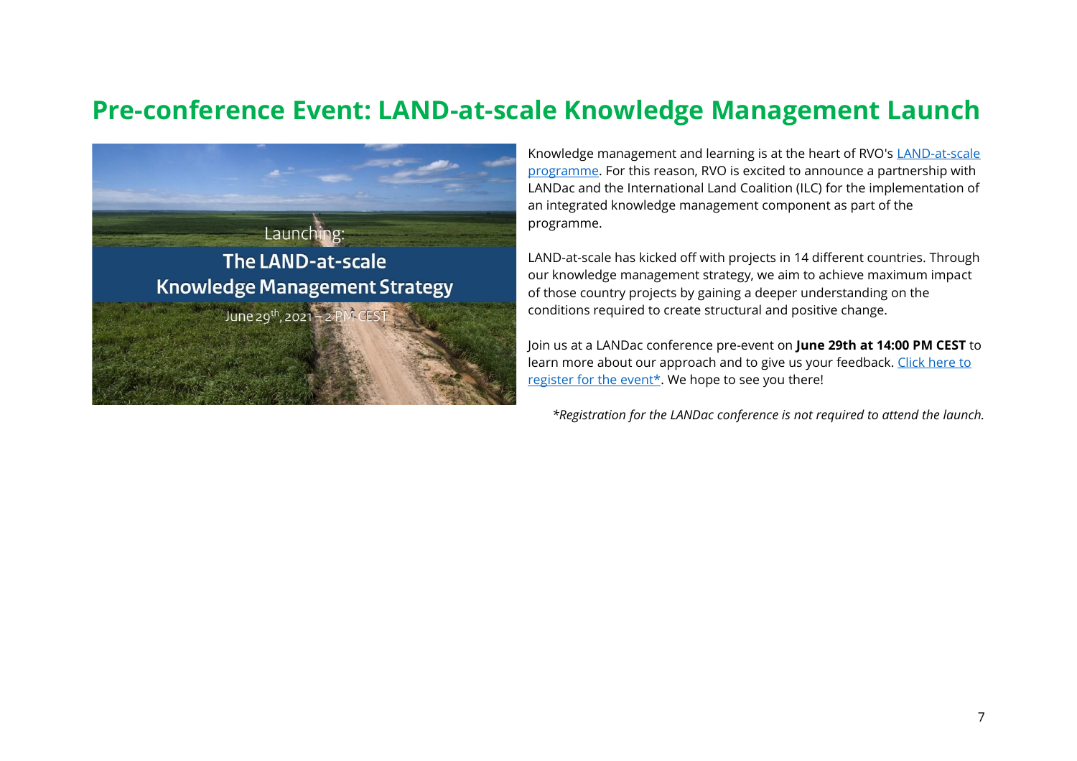# <span id="page-6-0"></span>**Pre-conference Event: LAND-at-scale Knowledge Management Launch**



Knowledge management and learning is at the heart of RVO's [LAND-at-scale](https://english.rvo.nl/subsidies-programmes/land-at-scale)  [programme.](https://english.rvo.nl/subsidies-programmes/land-at-scale) For this reason, RVO is excited to announce a partnership with LANDac and the International Land Coalition (ILC) for the implementation of an integrated knowledge management component as part of the programme.

LAND-at-scale has kicked off with projects in 14 different countries. Through our knowledge management strategy, we aim to achieve maximum impact of those country projects by gaining a deeper understanding on the conditions required to create structural and positive change.

Join us at a LANDac conference pre-event on **June 29th at 14:00 PM CEST** to learn more about our approach and to give us your feedback[. Click here to](https://fd21.formdesk.com/universiteitutrecht-geo/LAS_KM_Launch)  [register for the event\\*.](https://fd21.formdesk.com/universiteitutrecht-geo/LAS_KM_Launch) We hope to see you there!

*\*Registration for the LANDac conference is not required to attend the launch.*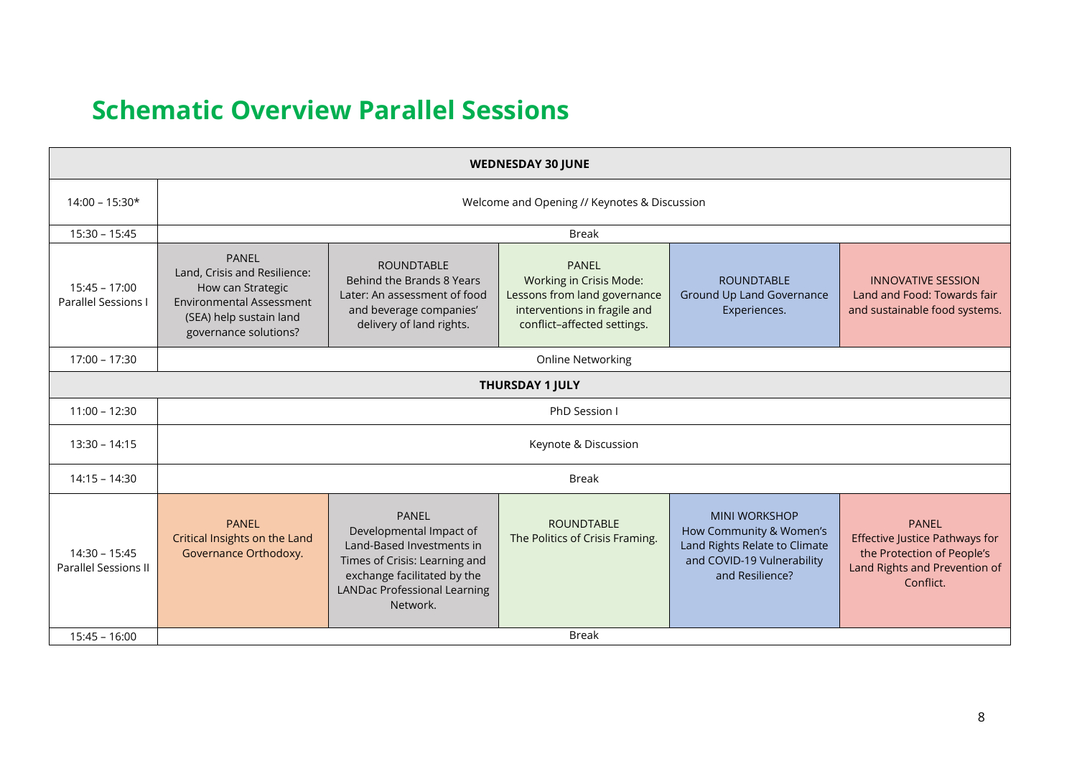# <span id="page-7-0"></span>**Schematic Overview Parallel Sessions**

| <b>WEDNESDAY 30 JUNE</b>                |                                                                                                                                                          |                                                                                                                                                                                         |                                                                                                                                        |                                                                                                                                   |                                                                                                                            |
|-----------------------------------------|----------------------------------------------------------------------------------------------------------------------------------------------------------|-----------------------------------------------------------------------------------------------------------------------------------------------------------------------------------------|----------------------------------------------------------------------------------------------------------------------------------------|-----------------------------------------------------------------------------------------------------------------------------------|----------------------------------------------------------------------------------------------------------------------------|
| $14:00 - 15:30*$                        | Welcome and Opening // Keynotes & Discussion                                                                                                             |                                                                                                                                                                                         |                                                                                                                                        |                                                                                                                                   |                                                                                                                            |
| $15:30 - 15:45$                         |                                                                                                                                                          |                                                                                                                                                                                         | <b>Break</b>                                                                                                                           |                                                                                                                                   |                                                                                                                            |
| $15:45 - 17:00$<br>Parallel Sessions I  | <b>PANEL</b><br>Land, Crisis and Resilience:<br>How can Strategic<br><b>Environmental Assessment</b><br>(SEA) help sustain land<br>governance solutions? | <b>ROUNDTABLE</b><br>Behind the Brands 8 Years<br>Later: An assessment of food<br>and beverage companies'<br>delivery of land rights.                                                   | <b>PANEL</b><br>Working in Crisis Mode:<br>Lessons from land governance<br>interventions in fragile and<br>conflict-affected settings. | <b>ROUNDTABLE</b><br>Ground Up Land Governance<br>Experiences.                                                                    | <b>INNOVATIVE SESSION</b><br>Land and Food: Towards fair<br>and sustainable food systems.                                  |
| $17:00 - 17:30$                         |                                                                                                                                                          |                                                                                                                                                                                         | <b>Online Networking</b>                                                                                                               |                                                                                                                                   |                                                                                                                            |
|                                         |                                                                                                                                                          |                                                                                                                                                                                         | <b>THURSDAY 1 JULY</b>                                                                                                                 |                                                                                                                                   |                                                                                                                            |
| $11:00 - 12:30$                         | PhD Session I                                                                                                                                            |                                                                                                                                                                                         |                                                                                                                                        |                                                                                                                                   |                                                                                                                            |
| $13:30 - 14:15$                         | Keynote & Discussion                                                                                                                                     |                                                                                                                                                                                         |                                                                                                                                        |                                                                                                                                   |                                                                                                                            |
| $14:15 - 14:30$                         |                                                                                                                                                          |                                                                                                                                                                                         | <b>Break</b>                                                                                                                           |                                                                                                                                   |                                                                                                                            |
| $14:30 - 15:45$<br>Parallel Sessions II | <b>PANEL</b><br>Critical Insights on the Land<br>Governance Orthodoxy.                                                                                   | <b>PANEL</b><br>Developmental Impact of<br>Land-Based Investments in<br>Times of Crisis: Learning and<br>exchange facilitated by the<br><b>LANDac Professional Learning</b><br>Network. | <b>ROUNDTABLE</b><br>The Politics of Crisis Framing.                                                                                   | <b>MINI WORKSHOP</b><br>How Community & Women's<br>Land Rights Relate to Climate<br>and COVID-19 Vulnerability<br>and Resilience? | <b>PANEL</b><br>Effective Justice Pathways for<br>the Protection of People's<br>Land Rights and Prevention of<br>Conflict. |
| $15:45 - 16:00$                         | <b>Break</b>                                                                                                                                             |                                                                                                                                                                                         |                                                                                                                                        |                                                                                                                                   |                                                                                                                            |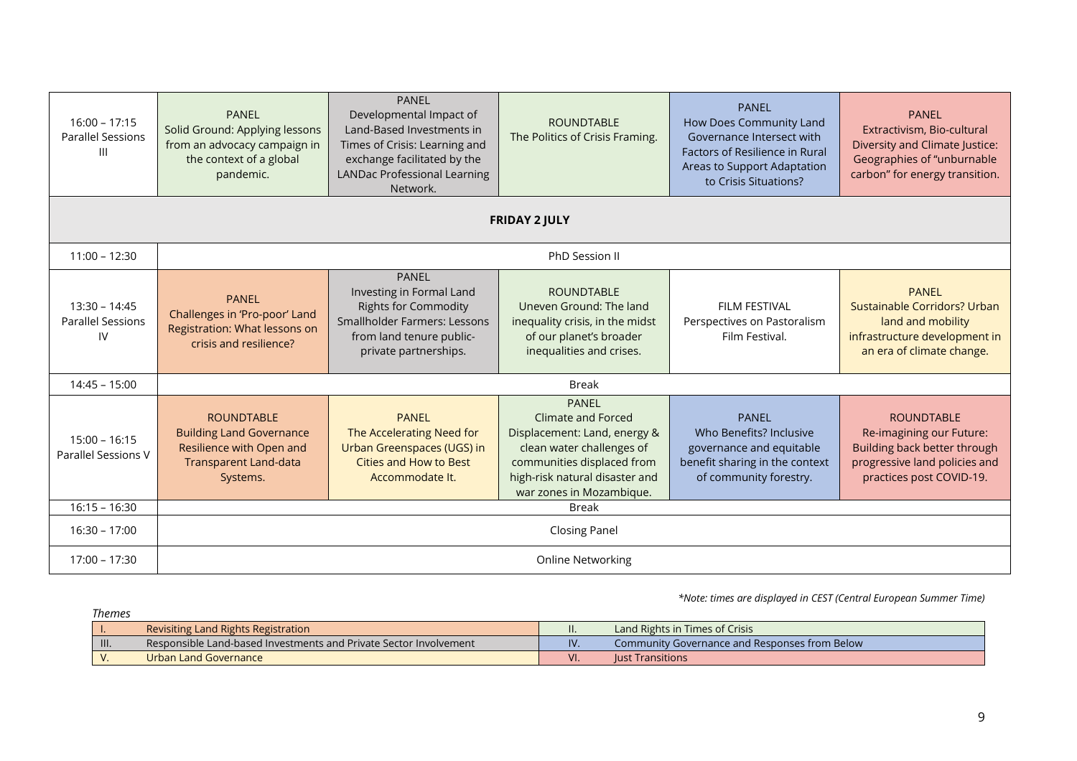| $16:00 - 17:15$<br><b>Parallel Sessions</b><br>Ш  | <b>PANEL</b><br>Solid Ground: Applying lessons<br>from an advocacy campaign in<br>the context of a global<br>pandemic.       | <b>PANEL</b><br>Developmental Impact of<br>Land-Based Investments in<br>Times of Crisis: Learning and<br>exchange facilitated by the<br><b>LANDac Professional Learning</b><br>Network. | <b>ROUNDTABLE</b><br>The Politics of Crisis Framing.                                                                                                                                        | <b>PANEL</b><br>How Does Community Land<br>Governance Intersect with<br><b>Factors of Resilience in Rural</b><br>Areas to Support Adaptation<br>to Crisis Situations? | <b>PANEL</b><br>Extractivism, Bio-cultural<br>Diversity and Climate Justice:<br>Geographies of "unburnable<br>carbon" for energy transition. |
|---------------------------------------------------|------------------------------------------------------------------------------------------------------------------------------|-----------------------------------------------------------------------------------------------------------------------------------------------------------------------------------------|---------------------------------------------------------------------------------------------------------------------------------------------------------------------------------------------|-----------------------------------------------------------------------------------------------------------------------------------------------------------------------|----------------------------------------------------------------------------------------------------------------------------------------------|
|                                                   |                                                                                                                              |                                                                                                                                                                                         | <b>FRIDAY 2 JULY</b>                                                                                                                                                                        |                                                                                                                                                                       |                                                                                                                                              |
| $11:00 - 12:30$                                   |                                                                                                                              |                                                                                                                                                                                         | PhD Session II                                                                                                                                                                              |                                                                                                                                                                       |                                                                                                                                              |
| $13:30 - 14:45$<br><b>Parallel Sessions</b><br>IV | <b>PANEL</b><br>Challenges in 'Pro-poor' Land<br>Registration: What lessons on<br>crisis and resilience?                     | <b>PANEL</b><br>Investing in Formal Land<br><b>Rights for Commodity</b><br>Smallholder Farmers: Lessons<br>from land tenure public-<br>private partnerships.                            | <b>ROUNDTABLE</b><br>Uneven Ground: The land<br>inequality crisis, in the midst<br>of our planet's broader<br>inequalities and crises.                                                      | FII M FFSTIVAL<br>Perspectives on Pastoralism<br>Film Festival.                                                                                                       | <b>PANEL</b><br>Sustainable Corridors? Urban<br>land and mobility<br>infrastructure development in<br>an era of climate change.              |
| $14:45 - 15:00$                                   | <b>Break</b>                                                                                                                 |                                                                                                                                                                                         |                                                                                                                                                                                             |                                                                                                                                                                       |                                                                                                                                              |
| $15:00 - 16:15$<br>Parallel Sessions V            | <b>ROUNDTABLE</b><br><b>Building Land Governance</b><br>Resilience with Open and<br><b>Transparent Land-data</b><br>Systems. | <b>PANEL</b><br>The Accelerating Need for<br>Urban Greenspaces (UGS) in<br>Cities and How to Best<br>Accommodate It.                                                                    | <b>PANEL</b><br>Climate and Forced<br>Displacement: Land, energy &<br>clean water challenges of<br>communities displaced from<br>high-risk natural disaster and<br>war zones in Mozambique. | <b>PANEL</b><br>Who Benefits? Inclusive<br>governance and equitable<br>benefit sharing in the context<br>of community forestry.                                       | <b>ROUNDTABLE</b><br>Re-imagining our Future:<br>Building back better through<br>progressive land policies and<br>practices post COVID-19.   |
| $16:15 - 16:30$                                   | <b>Break</b>                                                                                                                 |                                                                                                                                                                                         |                                                                                                                                                                                             |                                                                                                                                                                       |                                                                                                                                              |
| $16:30 - 17:00$                                   | <b>Closing Panel</b>                                                                                                         |                                                                                                                                                                                         |                                                                                                                                                                                             |                                                                                                                                                                       |                                                                                                                                              |
| $17:00 - 17:30$                                   | <b>Online Networking</b>                                                                                                     |                                                                                                                                                                                         |                                                                                                                                                                                             |                                                                                                                                                                       |                                                                                                                                              |

 *\*Note: times are displayed in CEST (Central European Summer Time)*

|      | Themes                                                            |     |                                               |
|------|-------------------------------------------------------------------|-----|-----------------------------------------------|
|      | Revisiting Land Rights Registration                               | H.  | Land Rights in Times of Crisis                |
| III. | Responsible Land-based Investments and Private Sector Involvement | IV. | Community Governance and Responses from Below |
|      | Urban Land Governance                                             | VI. | <b>Lust Transitions</b>                       |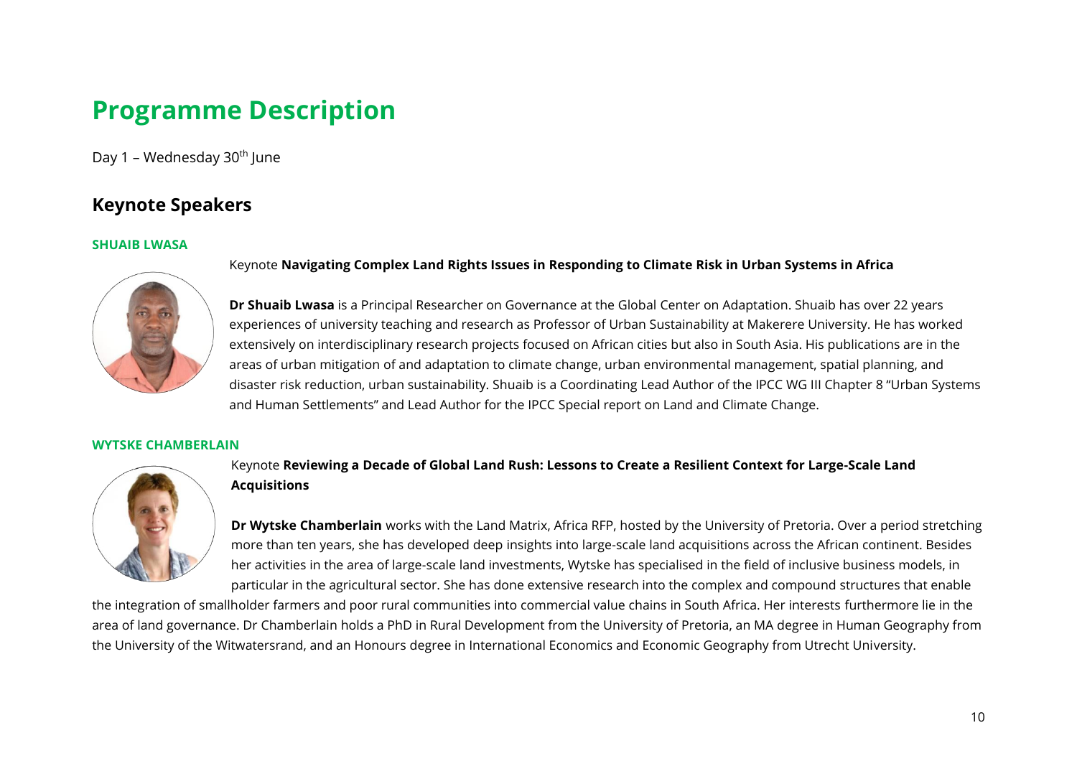# <span id="page-9-0"></span>**Programme Description**

<span id="page-9-1"></span>Day 1 – Wednesday  $30<sup>th</sup>$  June

# <span id="page-9-2"></span>**Keynote Speakers**

#### **SHUAIB LWASA**



**Dr Shuaib Lwasa** is a Principal Researcher on Governance at the Global Center on Adaptation. Shuaib has over 22 years experiences of university teaching and research as Professor of Urban Sustainability at Makerere University. He has worked extensively on interdisciplinary research projects focused on African cities but also in South Asia. His publications are in the areas of urban mitigation of and adaptation to climate change, urban environmental management, spatial planning, and disaster risk reduction, urban sustainability. Shuaib is a Coordinating Lead Author of the IPCC WG III Chapter 8 "Urban Systems and Human Settlements" and Lead Author for the IPCC Special report on Land and Climate Change.

#### **WYTSKE CHAMBERLAIN**



#### Keynote **Reviewing a Decade of Global Land Rush: Lessons to Create a Resilient Context for Large-Scale Land Acquisitions**

Keynote **Navigating Complex Land Rights Issues in Responding to Climate Risk in Urban Systems in Africa**

**Dr Wytske Chamberlain** works with the Land Matrix, Africa RFP, hosted by the University of Pretoria. Over a period stretching more than ten years, she has developed deep insights into large-scale land acquisitions across the African continent. Besides her activities in the area of large-scale land investments, Wytske has specialised in the field of inclusive business models, in particular in the agricultural sector. She has done extensive research into the complex and compound structures that enable

the integration of smallholder farmers and poor rural communities into commercial value chains in South Africa. Her interests furthermore lie in the area of land governance. Dr Chamberlain holds a PhD in Rural Development from the University of Pretoria, an MA degree in Human Geography from the University of the Witwatersrand, and an Honours degree in International Economics and Economic Geography from Utrecht University.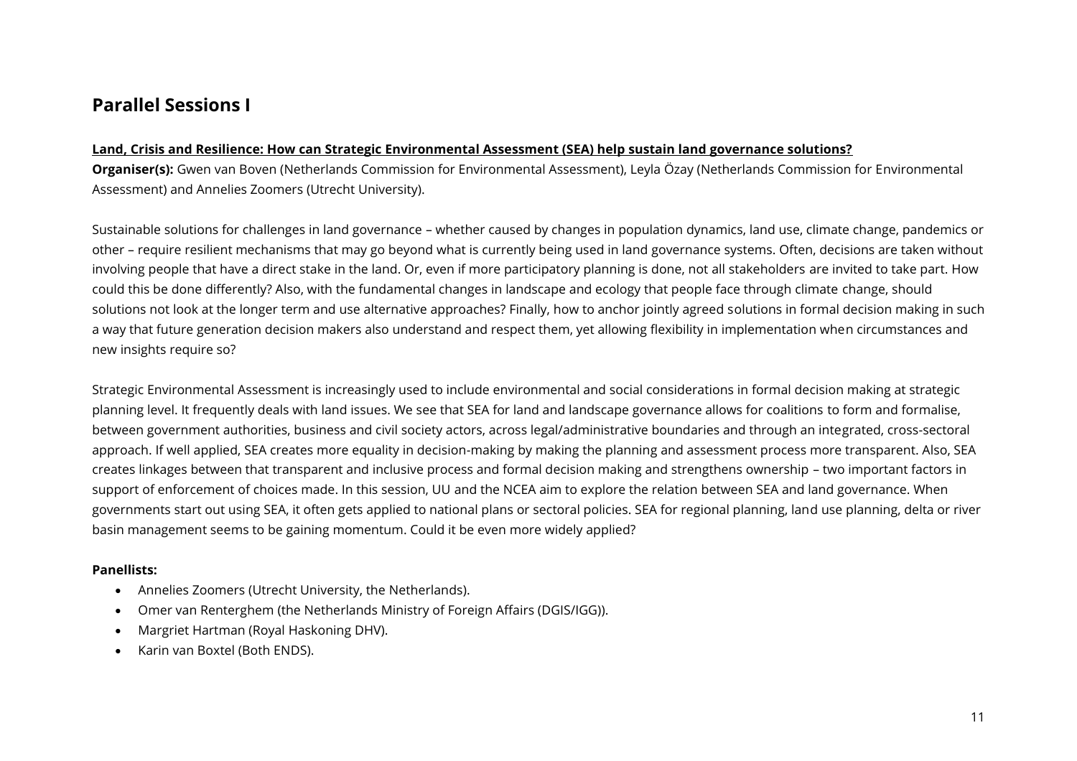### <span id="page-10-0"></span>**Parallel Sessions I**

#### **Land, Crisis and Resilience: How can Strategic Environmental Assessment (SEA) help sustain land governance solutions?**

**Organiser(s):** Gwen van Boven (Netherlands Commission for Environmental Assessment), Leyla Özay (Netherlands Commission for Environmental Assessment) and Annelies Zoomers (Utrecht University).

Sustainable solutions for challenges in land governance – whether caused by changes in population dynamics, land use, climate change, pandemics or other – require resilient mechanisms that may go beyond what is currently being used in land governance systems. Often, decisions are taken without involving people that have a direct stake in the land. Or, even if more participatory planning is done, not all stakeholders are invited to take part. How could this be done differently? Also, with the fundamental changes in landscape and ecology that people face through climate change, should solutions not look at the longer term and use alternative approaches? Finally, how to anchor jointly agreed solutions in formal decision making in such a way that future generation decision makers also understand and respect them, yet allowing flexibility in implementation when circumstances and new insights require so?

Strategic Environmental Assessment is increasingly used to include environmental and social considerations in formal decision making at strategic planning level. It frequently deals with land issues. We see that SEA for land and landscape governance allows for coalitions to form and formalise, between government authorities, business and civil society actors, across legal/administrative boundaries and through an integrated, cross-sectoral approach. If well applied, SEA creates more equality in decision-making by making the planning and assessment process more transparent. Also, SEA creates linkages between that transparent and inclusive process and formal decision making and strengthens ownership – two important factors in support of enforcement of choices made. In this session, UU and the NCEA aim to explore the relation between SEA and land governance. When governments start out using SEA, it often gets applied to national plans or sectoral policies. SEA for regional planning, land use planning, delta or river basin management seems to be gaining momentum. Could it be even more widely applied?

#### **Panellists:**

- Annelies Zoomers (Utrecht University, the Netherlands).
- Omer van Renterghem (the Netherlands Ministry of Foreign Affairs (DGIS/IGG)).
- Margriet Hartman (Royal Haskoning DHV).
- Karin van Boxtel (Both ENDS).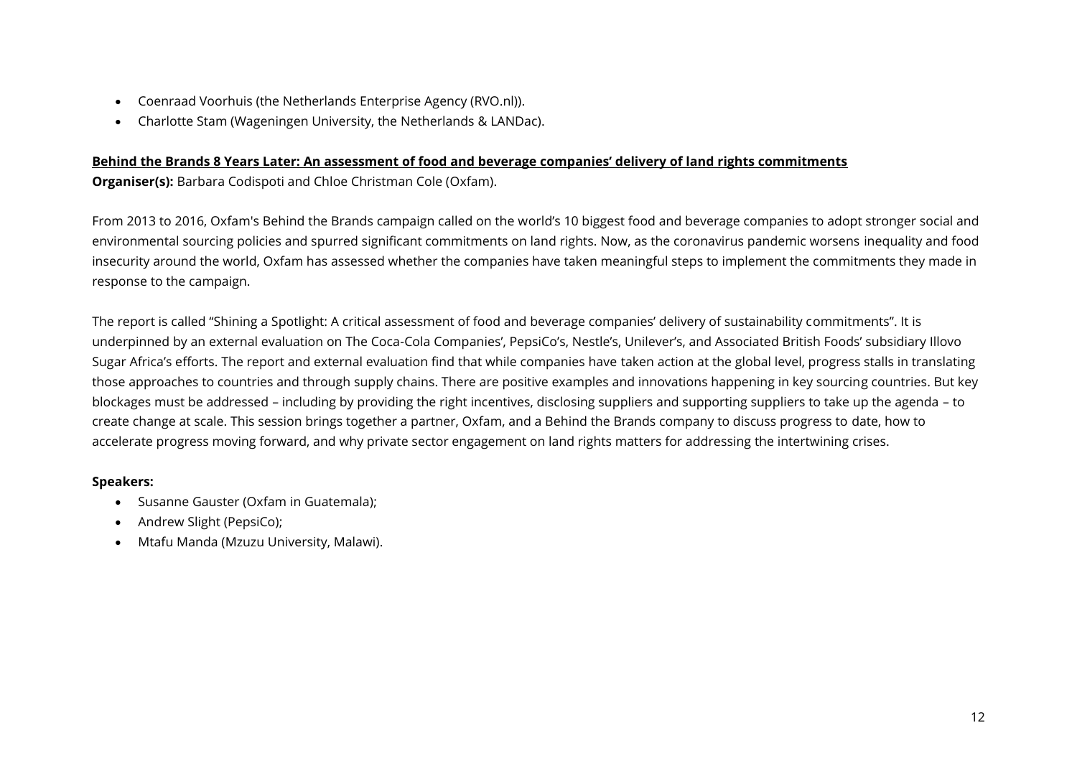- Coenraad Voorhuis (the Netherlands Enterprise Agency (RVO.nl)).
- Charlotte Stam (Wageningen University, the Netherlands & LANDac).

#### **Behind the Brands 8 Years Later: An assessment of food and beverage companies' delivery of land rights commitments**

**Organiser(s):** Barbara Codispoti and Chloe Christman Cole (Oxfam).

From 2013 to 2016, Oxfam's Behind the Brands campaign called on the world's 10 biggest food and beverage companies to adopt stronger social and environmental sourcing policies and spurred significant commitments on land rights. Now, as the coronavirus pandemic worsens inequality and food insecurity around the world, Oxfam has assessed whether the companies have taken meaningful steps to implement the commitments they made in response to the campaign.

The report is called "Shining a Spotlight: A critical assessment of food and beverage companies' delivery of sustainability commitments". It is underpinned by an external evaluation on The Coca-Cola Companies', PepsiCo's, Nestle's, Unilever's, and Associated British Foods' subsidiary Illovo Sugar Africa's efforts. The report and external evaluation find that while companies have taken action at the global level, progress stalls in translating those approaches to countries and through supply chains. There are positive examples and innovations happening in key sourcing countries. But key blockages must be addressed – including by providing the right incentives, disclosing suppliers and supporting suppliers to take up the agenda – to create change at scale. This session brings together a partner, Oxfam, and a Behind the Brands company to discuss progress to date, how to accelerate progress moving forward, and why private sector engagement on land rights matters for addressing the intertwining crises.

#### **Speakers:**

- Susanne Gauster (Oxfam in Guatemala);
- Andrew Slight (PepsiCo);
- Mtafu Manda (Mzuzu University, Malawi).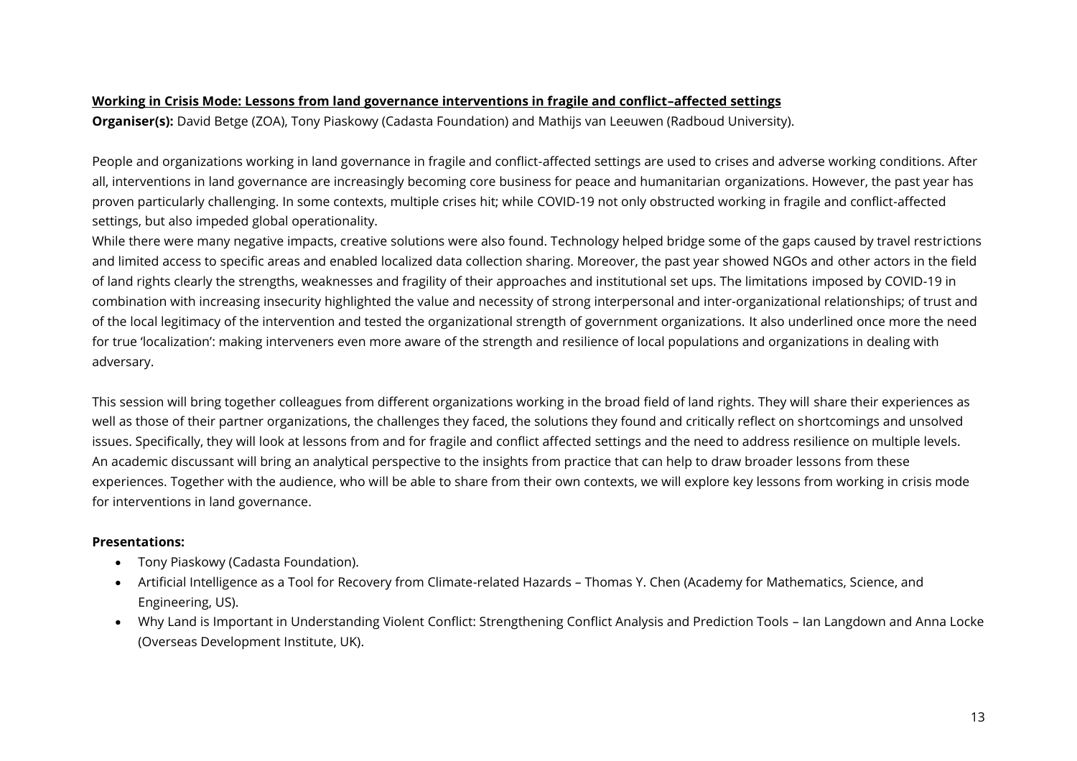#### **Working in Crisis Mode: Lessons from land governance interventions in fragile and conflict–affected settings**

**Organiser(s):** David Betge (ZOA), Tony Piaskowy (Cadasta Foundation) and Mathijs van Leeuwen (Radboud University).

People and organizations working in land governance in fragile and conflict-affected settings are used to crises and adverse working conditions. After all, interventions in land governance are increasingly becoming core business for peace and humanitarian organizations. However, the past year has proven particularly challenging. In some contexts, multiple crises hit; while COVID-19 not only obstructed working in fragile and conflict-affected settings, but also impeded global operationality.

While there were many negative impacts, creative solutions were also found. Technology helped bridge some of the gaps caused by travel restrictions and limited access to specific areas and enabled localized data collection sharing. Moreover, the past year showed NGOs and other actors in the field of land rights clearly the strengths, weaknesses and fragility of their approaches and institutional set ups. The limitations imposed by COVID-19 in combination with increasing insecurity highlighted the value and necessity of strong interpersonal and inter-organizational relationships; of trust and of the local legitimacy of the intervention and tested the organizational strength of government organizations. It also underlined once more the need for true 'localization': making interveners even more aware of the strength and resilience of local populations and organizations in dealing with adversary.

This session will bring together colleagues from different organizations working in the broad field of land rights. They will share their experiences as well as those of their partner organizations, the challenges they faced, the solutions they found and critically reflect on shortcomings and unsolved issues. Specifically, they will look at lessons from and for fragile and conflict affected settings and the need to address resilience on multiple levels. An academic discussant will bring an analytical perspective to the insights from practice that can help to draw broader lessons from these experiences. Together with the audience, who will be able to share from their own contexts, we will explore key lessons from working in crisis mode for interventions in land governance.

- Tony Piaskowy (Cadasta Foundation).
- Artificial Intelligence as a Tool for Recovery from Climate-related Hazards Thomas Y. Chen (Academy for Mathematics, Science, and Engineering, US).
- Why Land is Important in Understanding Violent Conflict: Strengthening Conflict Analysis and Prediction Tools Ian Langdown and Anna Locke (Overseas Development Institute, UK).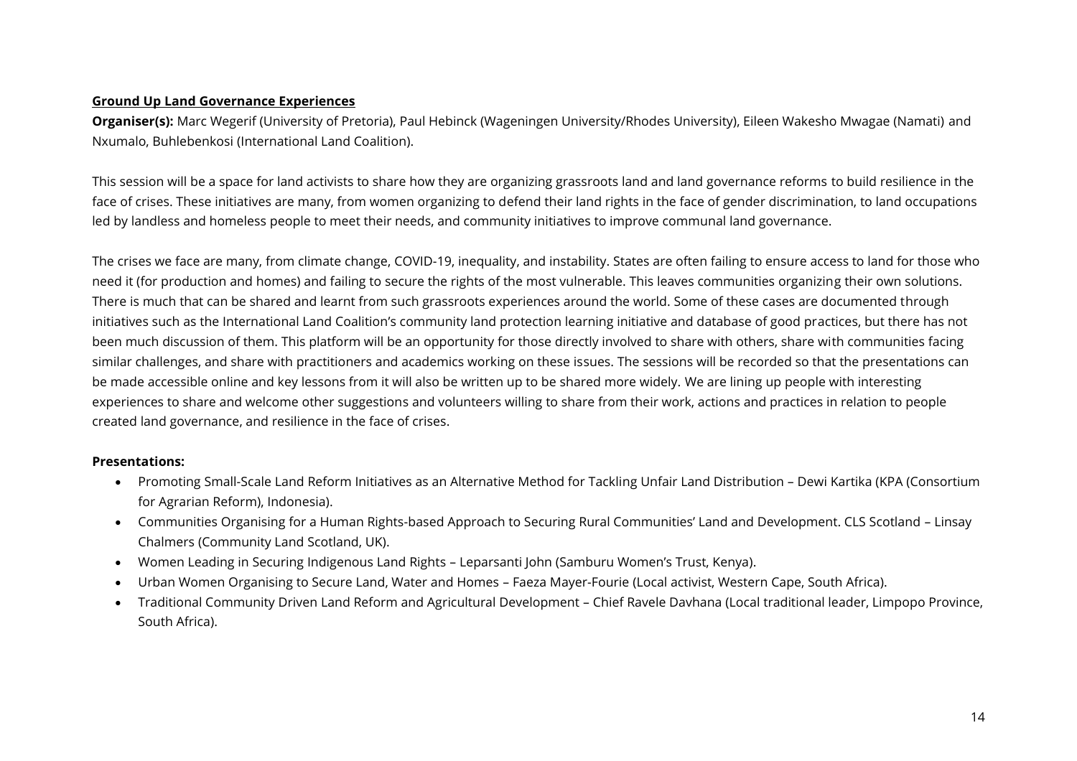#### **Ground Up Land Governance Experiences**

**Organiser(s):** Marc Wegerif (University of Pretoria), Paul Hebinck (Wageningen University/Rhodes University), Eileen Wakesho Mwagae (Namati) and Nxumalo, Buhlebenkosi (International Land Coalition).

This session will be a space for land activists to share how they are organizing grassroots land and land governance reforms to build resilience in the face of crises. These initiatives are many, from women organizing to defend their land rights in the face of gender discrimination, to land occupations led by landless and homeless people to meet their needs, and community initiatives to improve communal land governance.

The crises we face are many, from climate change, COVID-19, inequality, and instability. States are often failing to ensure access to land for those who need it (for production and homes) and failing to secure the rights of the most vulnerable. This leaves communities organizing their own solutions. There is much that can be shared and learnt from such grassroots experiences around the world. Some of these cases are documented through initiatives such as the International Land Coalition's community land protection learning initiative and database of good practices, but there has not been much discussion of them. This platform will be an opportunity for those directly involved to share with others, share with communities facing similar challenges, and share with practitioners and academics working on these issues. The sessions will be recorded so that the presentations can be made accessible online and key lessons from it will also be written up to be shared more widely. We are lining up people with interesting experiences to share and welcome other suggestions and volunteers willing to share from their work, actions and practices in relation to people created land governance, and resilience in the face of crises.

- Promoting Small-Scale Land Reform Initiatives as an Alternative Method for Tackling Unfair Land Distribution Dewi Kartika (KPA (Consortium for Agrarian Reform), Indonesia).
- Communities Organising for a Human Rights-based Approach to Securing Rural Communities' Land and Development. CLS Scotland Linsay Chalmers (Community Land Scotland, UK).
- Women Leading in Securing Indigenous Land Rights Leparsanti John (Samburu Women's Trust, Kenya).
- Urban Women Organising to Secure Land, Water and Homes Faeza Mayer-Fourie (Local activist, Western Cape, South Africa).
- Traditional Community Driven Land Reform and Agricultural Development Chief Ravele Davhana (Local traditional leader, Limpopo Province, South Africa).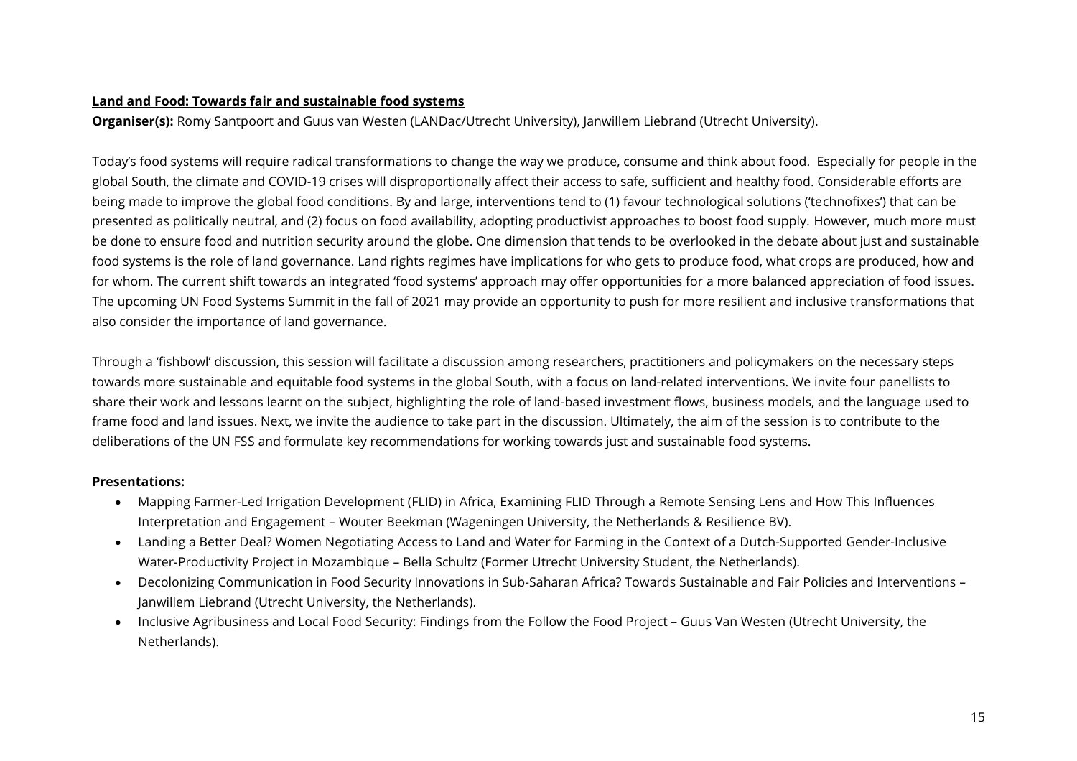#### **Land and Food: Towards fair and sustainable food systems**

**Organiser(s):** Romy Santpoort and Guus van Westen (LANDac/Utrecht University), Janwillem Liebrand (Utrecht University).

Today's food systems will require radical transformations to change the way we produce, consume and think about food. Especially for people in the global South, the climate and COVID-19 crises will disproportionally affect their access to safe, sufficient and healthy food. Considerable efforts are being made to improve the global food conditions. By and large, interventions tend to (1) favour technological solutions ('technofixes') that can be presented as politically neutral, and (2) focus on food availability, adopting productivist approaches to boost food supply. However, much more must be done to ensure food and nutrition security around the globe. One dimension that tends to be overlooked in the debate about just and sustainable food systems is the role of land governance. Land rights regimes have implications for who gets to produce food, what crops are produced, how and for whom. The current shift towards an integrated 'food systems' approach may offer opportunities for a more balanced appreciation of food issues. The upcoming UN Food Systems Summit in the fall of 2021 may provide an opportunity to push for more resilient and inclusive transformations that also consider the importance of land governance.

Through a 'fishbowl' discussion, this session will facilitate a discussion among researchers, practitioners and policymakers on the necessary steps towards more sustainable and equitable food systems in the global South, with a focus on land-related interventions. We invite four panellists to share their work and lessons learnt on the subject, highlighting the role of land-based investment flows, business models, and the language used to frame food and land issues. Next, we invite the audience to take part in the discussion. Ultimately, the aim of the session is to contribute to the deliberations of the UN FSS and formulate key recommendations for working towards just and sustainable food systems.

- Mapping Farmer-Led Irrigation Development (FLID) in Africa, Examining FLID Through a Remote Sensing Lens and How This Influences Interpretation and Engagement – Wouter Beekman (Wageningen University, the Netherlands & Resilience BV).
- Landing a Better Deal? Women Negotiating Access to Land and Water for Farming in the Context of a Dutch-Supported Gender-Inclusive Water-Productivity Project in Mozambique – Bella Schultz (Former Utrecht University Student, the Netherlands).
- Decolonizing Communication in Food Security Innovations in Sub-Saharan Africa? Towards Sustainable and Fair Policies and Interventions Janwillem Liebrand (Utrecht University, the Netherlands).
- Inclusive Agribusiness and Local Food Security: Findings from the Follow the Food Project Guus Van Westen (Utrecht University, the Netherlands).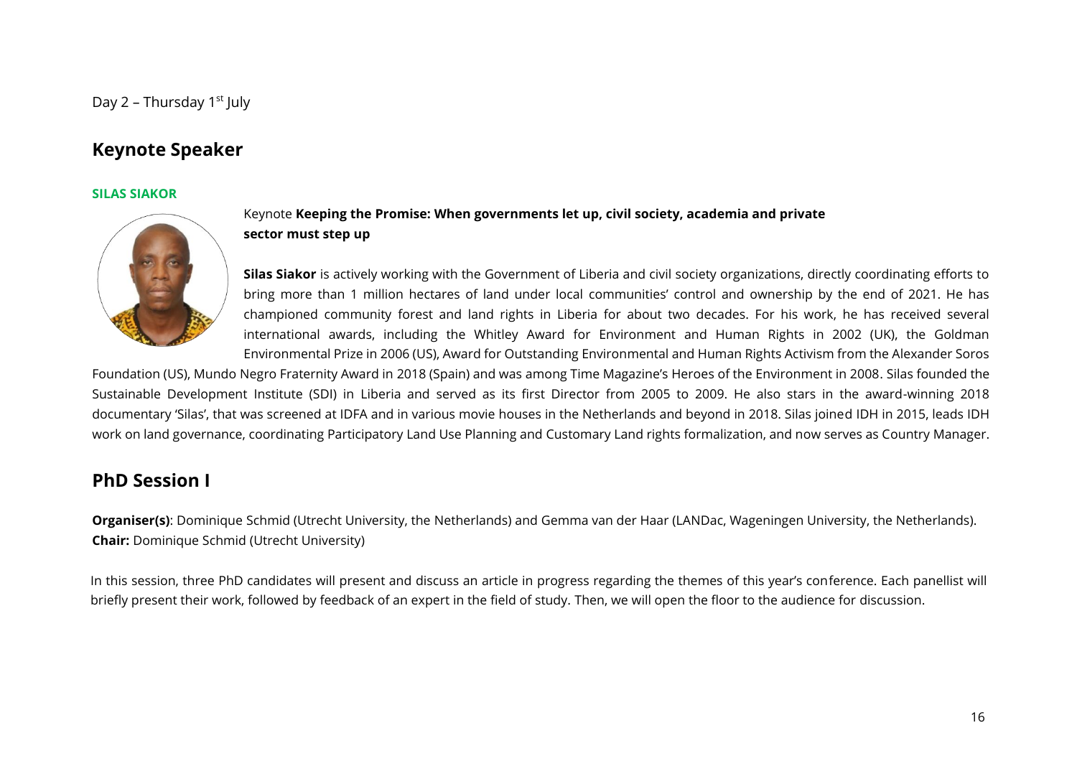### <span id="page-15-1"></span><span id="page-15-0"></span>**Keynote Speaker**

#### **SILAS SIAKOR**



#### Keynote **Keeping the Promise: When governments let up, civil society, academia and private sector must step up**

**Silas Siakor** is actively working with the Government of Liberia and civil society organizations, directly coordinating efforts to bring more than 1 million hectares of land under local communities' control and ownership by the end of 2021. He has championed community forest and land rights in Liberia for about two decades. For his work, he has received several international awards, including the Whitley Award for Environment and Human Rights in 2002 (UK), the Goldman Environmental Prize in 2006 (US), Award for Outstanding Environmental and Human Rights Activism from the Alexander Soros

Foundation (US), Mundo Negro Fraternity Award in 2018 (Spain) and was among Time Magazine's Heroes of the Environment in 2008. Silas founded the Sustainable Development Institute (SDI) in Liberia and served as its first Director from 2005 to 2009. He also stars in the award-winning 2018 documentary 'Silas', that was screened at IDFA and in various movie houses in the Netherlands and beyond in 2018. Silas joined IDH in 2015, leads IDH work on land governance, coordinating Participatory Land Use Planning and Customary Land rights formalization, and now serves as Country Manager.

### <span id="page-15-2"></span>**PhD Session I**

**Organiser(s)**: Dominique Schmid (Utrecht University, the Netherlands) and Gemma van der Haar (LANDac, Wageningen University, the Netherlands). **Chair:** Dominique Schmid (Utrecht University)

In this session, three PhD candidates will present and discuss an article in progress regarding the themes of this year's conference. Each panellist will briefly present their work, followed by feedback of an expert in the field of study. Then, we will open the floor to the audience for discussion.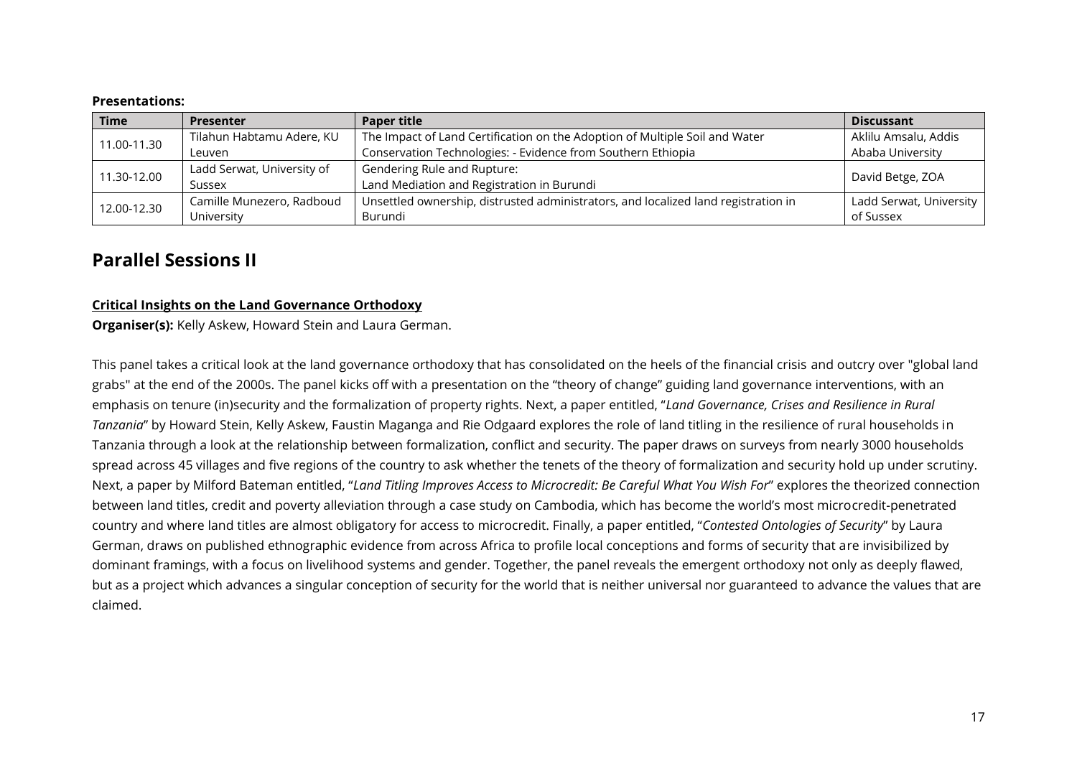| <b>Time</b> | <b>Presenter</b>           | <b>Paper title</b>                                                                 | <b>Discussant</b>       |
|-------------|----------------------------|------------------------------------------------------------------------------------|-------------------------|
| 11.00-11.30 | Tilahun Habtamu Adere, KU  | The Impact of Land Certification on the Adoption of Multiple Soil and Water        | Aklilu Amsalu, Addis    |
|             | Leuven                     | Conservation Technologies: - Evidence from Southern Ethiopia                       | Ababa University        |
| 11.30-12.00 | Ladd Serwat, University of | Gendering Rule and Rupture:                                                        |                         |
| Sussex      |                            | Land Mediation and Registration in Burundi                                         | David Betge, ZOA        |
|             | Camille Munezero, Radboud  | Unsettled ownership, distrusted administrators, and localized land registration in | Ladd Serwat, University |
| 12.00-12.30 | University                 | Burundi                                                                            | of Sussex               |

### <span id="page-16-0"></span>**Parallel Sessions II**

#### **Critical Insights on the Land Governance Orthodoxy**

**Organiser(s):** Kelly Askew, Howard Stein and Laura German.

This panel takes a critical look at the land governance orthodoxy that has consolidated on the heels of the financial crisis and outcry over "global land grabs" at the end of the 2000s. The panel kicks off with a presentation on the "theory of change" guiding land governance interventions, with an emphasis on tenure (in)security and the formalization of property rights. Next, a paper entitled, "*Land Governance, Crises and Resilience in Rural Tanzania*" by Howard Stein, Kelly Askew, Faustin Maganga and Rie Odgaard explores the role of land titling in the resilience of rural households in Tanzania through a look at the relationship between formalization, conflict and security. The paper draws on surveys from nearly 3000 households spread across 45 villages and five regions of the country to ask whether the tenets of the theory of formalization and security hold up under scrutiny. Next, a paper by Milford Bateman entitled, "*Land Titling Improves Access to Microcredit: Be Careful What You Wish For*" explores the theorized connection between land titles, credit and poverty alleviation through a case study on Cambodia, which has become the world's most microcredit-penetrated country and where land titles are almost obligatory for access to microcredit. Finally, a paper entitled, "*Contested Ontologies of Security*" by Laura German, draws on published ethnographic evidence from across Africa to profile local conceptions and forms of security that are invisibilized by dominant framings, with a focus on livelihood systems and gender. Together, the panel reveals the emergent orthodoxy not only as deeply flawed, but as a project which advances a singular conception of security for the world that is neither universal nor guaranteed to advance the values that are claimed.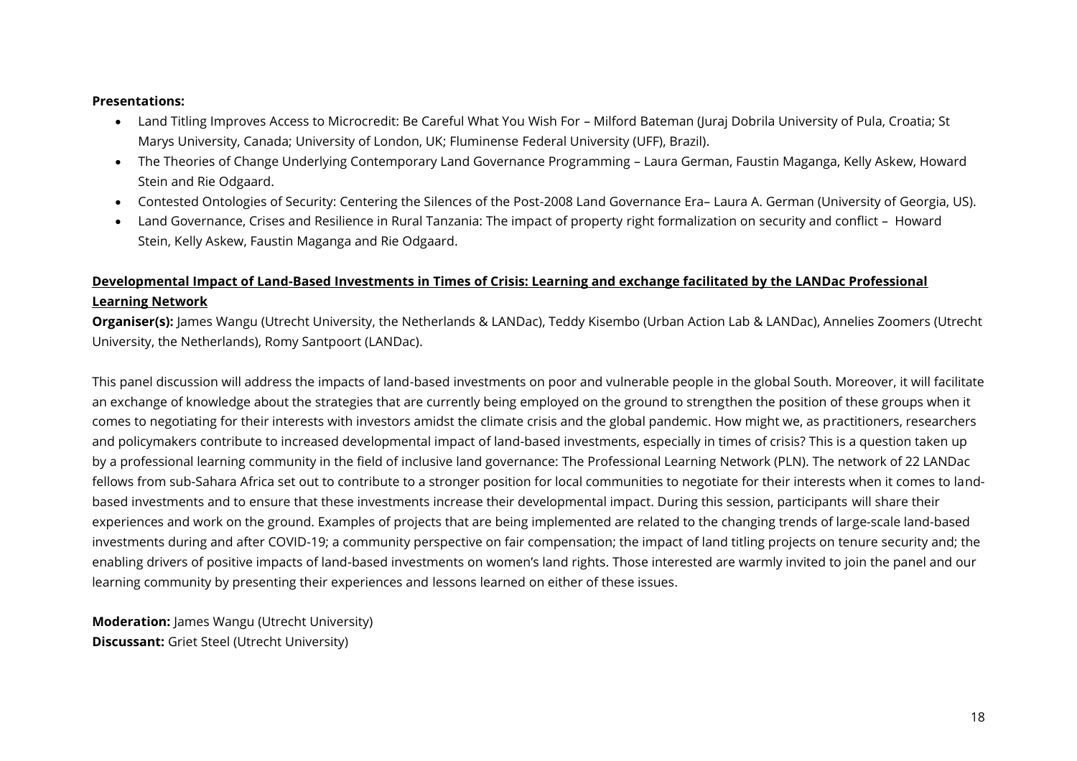- Land Titling Improves Access to Microcredit: Be Careful What You Wish For Milford Bateman (Juraj Dobrila University of Pula, Croatia; St Marys University, Canada; University of London, UK; Fluminense Federal University (UFF), Brazil).
- The Theories of Change Underlying Contemporary Land Governance Programming Laura German, Faustin Maganga, Kelly Askew, Howard Stein and Rie Odgaard.
- Contested Ontologies of Security: Centering the Silences of the Post-2008 Land Governance Era– Laura A. German (University of Georgia, US).
- Land Governance, Crises and Resilience in Rural Tanzania: The impact of property right formalization on security and conflict Howard Stein, Kelly Askew, Faustin Maganga and Rie Odgaard.

#### **Developmental Impact of Land-Based Investments in Times of Crisis: Learning and exchange facilitated by the LANDac Professional Learning Network**

**Organiser(s):** James Wangu (Utrecht University, the Netherlands & LANDac), Teddy Kisembo (Urban Action Lab & LANDac), Annelies Zoomers (Utrecht University, the Netherlands), Romy Santpoort (LANDac).

This panel discussion will address the impacts of land-based investments on poor and vulnerable people in the global South. Moreover, it will facilitate an exchange of knowledge about the strategies that are currently being employed on the ground to strengthen the position of these groups when it comes to negotiating for their interests with investors amidst the climate crisis and the global pandemic. How might we, as practitioners, researchers and policymakers contribute to increased developmental impact of land-based investments, especially in times of crisis? This is a question taken up by a professional learning community in the field of inclusive land governance: The Professional Learning Network (PLN). The network of 22 LANDac fellows from sub-Sahara Africa set out to contribute to a stronger position for local communities to negotiate for their interests when it comes to landbased investments and to ensure that these investments increase their developmental impact. During this session, participants will share their experiences and work on the ground. Examples of projects that are being implemented are related to the changing trends of large-scale land-based investments during and after COVID-19; a community perspective on fair compensation; the impact of land titling projects on tenure security and; the enabling drivers of positive impacts of land-based investments on women's land rights. Those interested are warmly invited to join the panel and our learning community by presenting their experiences and lessons learned on either of these issues.

**Moderation:** James Wangu (Utrecht University) **Discussant:** Griet Steel (Utrecht University)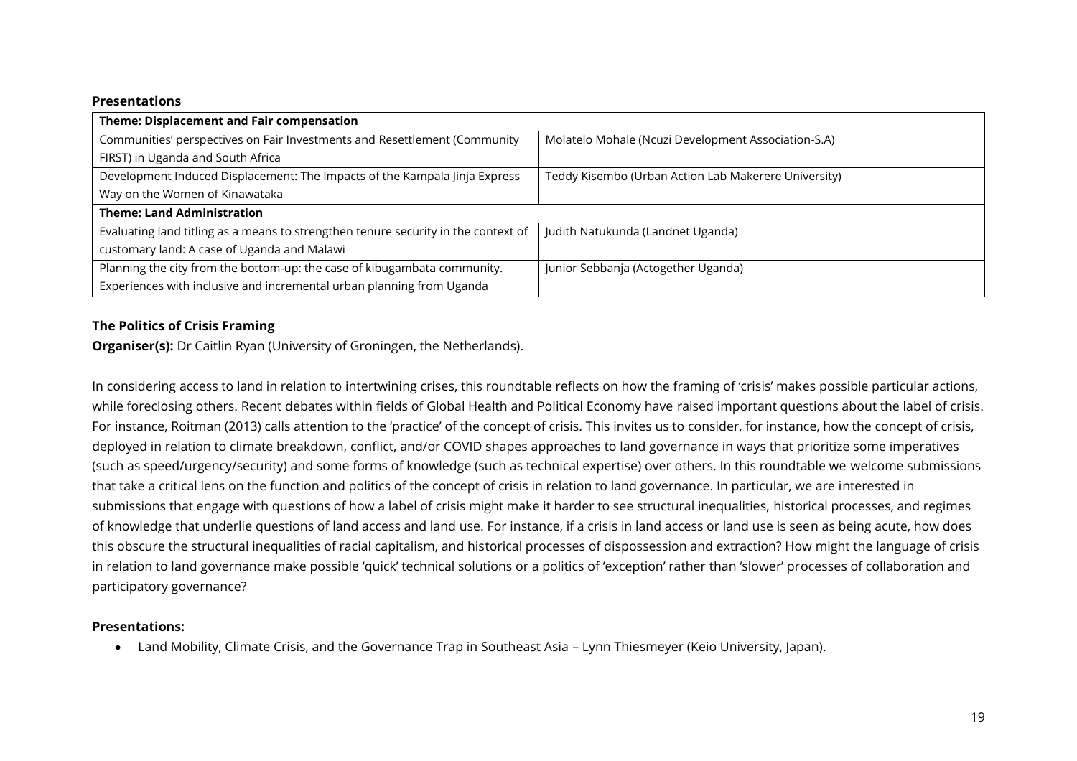| Theme: Displacement and Fair compensation                                          |                                                      |
|------------------------------------------------------------------------------------|------------------------------------------------------|
| Communities' perspectives on Fair Investments and Resettlement (Community          | Molatelo Mohale (Ncuzi Development Association-S.A)  |
| FIRST) in Uganda and South Africa                                                  |                                                      |
| Development Induced Displacement: The Impacts of the Kampala Jinja Express         | Teddy Kisembo (Urban Action Lab Makerere University) |
| Way on the Women of Kinawataka                                                     |                                                      |
| <b>Theme: Land Administration</b>                                                  |                                                      |
| Evaluating land titling as a means to strengthen tenure security in the context of | Judith Natukunda (Landnet Uganda)                    |
| customary land: A case of Uganda and Malawi                                        |                                                      |
| Planning the city from the bottom-up: the case of kibugambata community.           | Junior Sebbanja (Actogether Uganda)                  |
| Experiences with inclusive and incremental urban planning from Uganda              |                                                      |

#### **The Politics of Crisis Framing**

**Organiser(s):** Dr Caitlin Ryan (University of Groningen, the Netherlands).

In considering access to land in relation to intertwining crises, this roundtable reflects on how the framing of 'crisis' makes possible particular actions, while foreclosing others. Recent debates within fields of Global Health and Political Economy have raised important questions about the label of crisis. For instance, Roitman (2013) calls attention to the 'practice' of the concept of crisis. This invites us to consider, for instance, how the concept of crisis, deployed in relation to climate breakdown, conflict, and/or COVID shapes approaches to land governance in ways that prioritize some imperatives (such as speed/urgency/security) and some forms of knowledge (such as technical expertise) over others. In this roundtable we welcome submissions that take a critical lens on the function and politics of the concept of crisis in relation to land governance. In particular, we are interested in submissions that engage with questions of how a label of crisis might make it harder to see structural inequalities, historical processes, and regimes of knowledge that underlie questions of land access and land use. For instance, if a crisis in land access or land use is seen as being acute, how does this obscure the structural inequalities of racial capitalism, and historical processes of dispossession and extraction? How might the language of crisis in relation to land governance make possible 'quick' technical solutions or a politics of 'exception' rather than 'slower' processes of collaboration and participatory governance?

#### **Presentations:**

• Land Mobility, Climate Crisis, and the Governance Trap in Southeast Asia – Lynn Thiesmeyer (Keio University, Japan).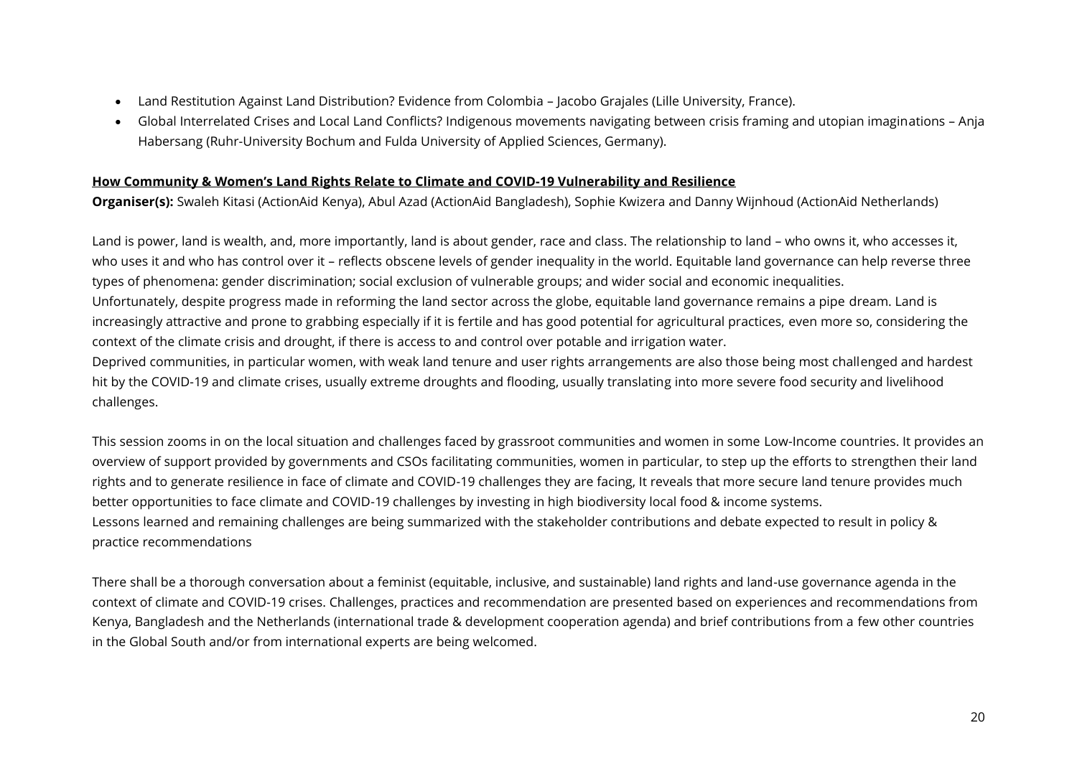- Land Restitution Against Land Distribution? Evidence from Colombia Jacobo Grajales (Lille University, France).
- Global Interrelated Crises and Local Land Conflicts? Indigenous movements navigating between crisis framing and utopian imaginations Anja Habersang (Ruhr-University Bochum and Fulda University of Applied Sciences, Germany).

#### **How Community & Women's Land Rights Relate to Climate and COVID-19 Vulnerability and Resilience**

**Organiser(s):** Swaleh Kitasi (ActionAid Kenya), Abul Azad (ActionAid Bangladesh), Sophie Kwizera and Danny Wijnhoud (ActionAid Netherlands)

Land is power, land is wealth, and, more importantly, land is about gender, race and class. The relationship to land – who owns it, who accesses it, who uses it and who has control over it – reflects obscene levels of gender inequality in the world. Equitable land governance can help reverse three types of phenomena: gender discrimination; social exclusion of vulnerable groups; and wider social and economic inequalities. Unfortunately, despite progress made in reforming the land sector across the globe, equitable land governance remains a pipe dream. Land is increasingly attractive and prone to grabbing especially if it is fertile and has good potential for agricultural practices, even more so, considering the context of the climate crisis and drought, if there is access to and control over potable and irrigation water. Deprived communities, in particular women, with weak land tenure and user rights arrangements are also those being most challenged and hardest hit by the COVID-19 and climate crises, usually extreme droughts and flooding, usually translating into more severe food security and livelihood challenges.

This session zooms in on the local situation and challenges faced by grassroot communities and women in some Low-Income countries. It provides an overview of support provided by governments and CSOs facilitating communities, women in particular, to step up the efforts to strengthen their land rights and to generate resilience in face of climate and COVID-19 challenges they are facing, It reveals that more secure land tenure provides much better opportunities to face climate and COVID-19 challenges by investing in high biodiversity local food & income systems. Lessons learned and remaining challenges are being summarized with the stakeholder contributions and debate expected to result in policy & practice recommendations

There shall be a thorough conversation about a feminist (equitable, inclusive, and sustainable) land rights and land-use governance agenda in the context of climate and COVID-19 crises. Challenges, practices and recommendation are presented based on experiences and recommendations from Kenya, Bangladesh and the Netherlands (international trade & development cooperation agenda) and brief contributions from a few other countries in the Global South and/or from international experts are being welcomed.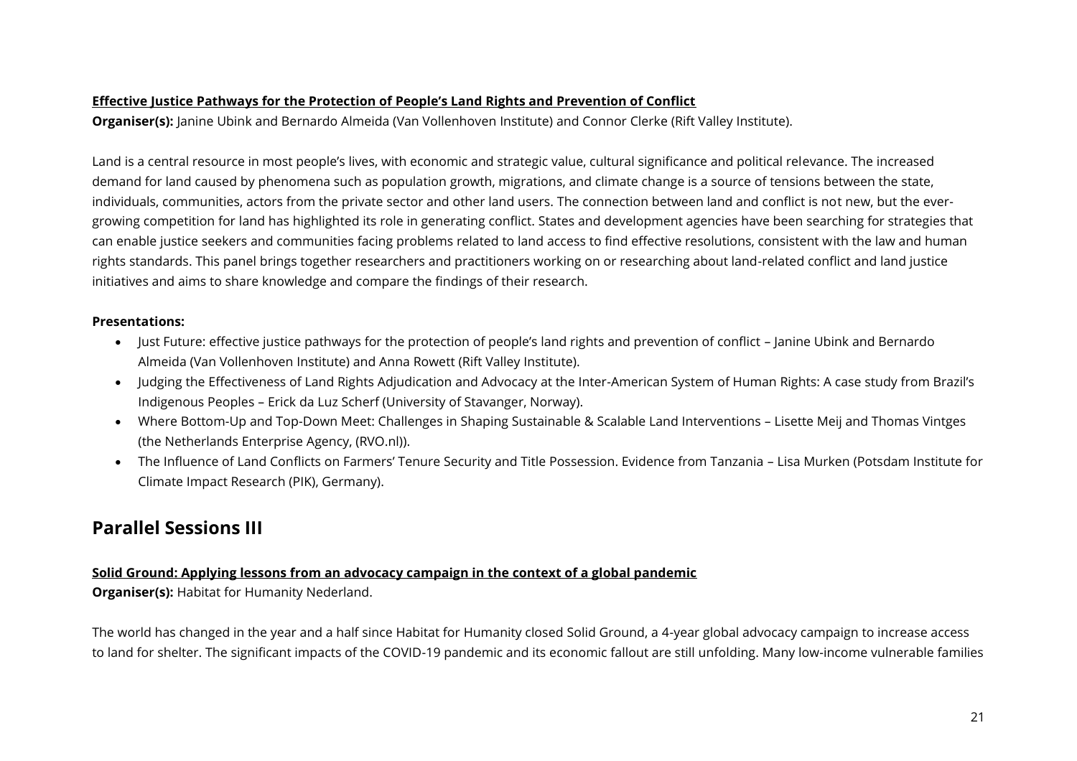#### **Effective Justice Pathways for the Protection of People's Land Rights and Prevention of Conflict**

**Organiser(s):** Janine Ubink and Bernardo Almeida (Van Vollenhoven Institute) and Connor Clerke (Rift Valley Institute).

Land is a central resource in most people's lives, with economic and strategic value, cultural significance and political relevance. The increased demand for land caused by phenomena such as population growth, migrations, and climate change is a source of tensions between the state, individuals, communities, actors from the private sector and other land users. The connection between land and conflict is not new, but the evergrowing competition for land has highlighted its role in generating conflict. States and development agencies have been searching for strategies that can enable justice seekers and communities facing problems related to land access to find effective resolutions, consistent with the law and human rights standards. This panel brings together researchers and practitioners working on or researching about land-related conflict and land justice initiatives and aims to share knowledge and compare the findings of their research.

#### **Presentations:**

- Just Future: effective justice pathways for the protection of people's land rights and prevention of conflict Janine Ubink and Bernardo Almeida (Van Vollenhoven Institute) and Anna Rowett (Rift Valley Institute).
- Judging the Effectiveness of Land Rights Adjudication and Advocacy at the Inter-American System of Human Rights: A case study from Brazil's Indigenous Peoples – Erick da Luz Scherf (University of Stavanger, Norway).
- Where Bottom-Up and Top-Down Meet: Challenges in Shaping Sustainable & Scalable Land Interventions Lisette Meij and Thomas Vintges (the Netherlands Enterprise Agency, (RVO.nl)).
- The Influence of Land Conflicts on Farmers' Tenure Security and Title Possession. Evidence from Tanzania Lisa Murken (Potsdam Institute for Climate Impact Research (PIK), Germany).

# <span id="page-20-0"></span>**Parallel Sessions III**

#### **Solid Ground: Applying lessons from an advocacy campaign in the context of a global pandemic**

**Organiser(s):** Habitat for Humanity Nederland.

The world has changed in the year and a half since Habitat for Humanity closed Solid Ground, a 4-year global advocacy campaign to increase access to land for shelter. The significant impacts of the COVID-19 pandemic and its economic fallout are still unfolding. Many low-income vulnerable families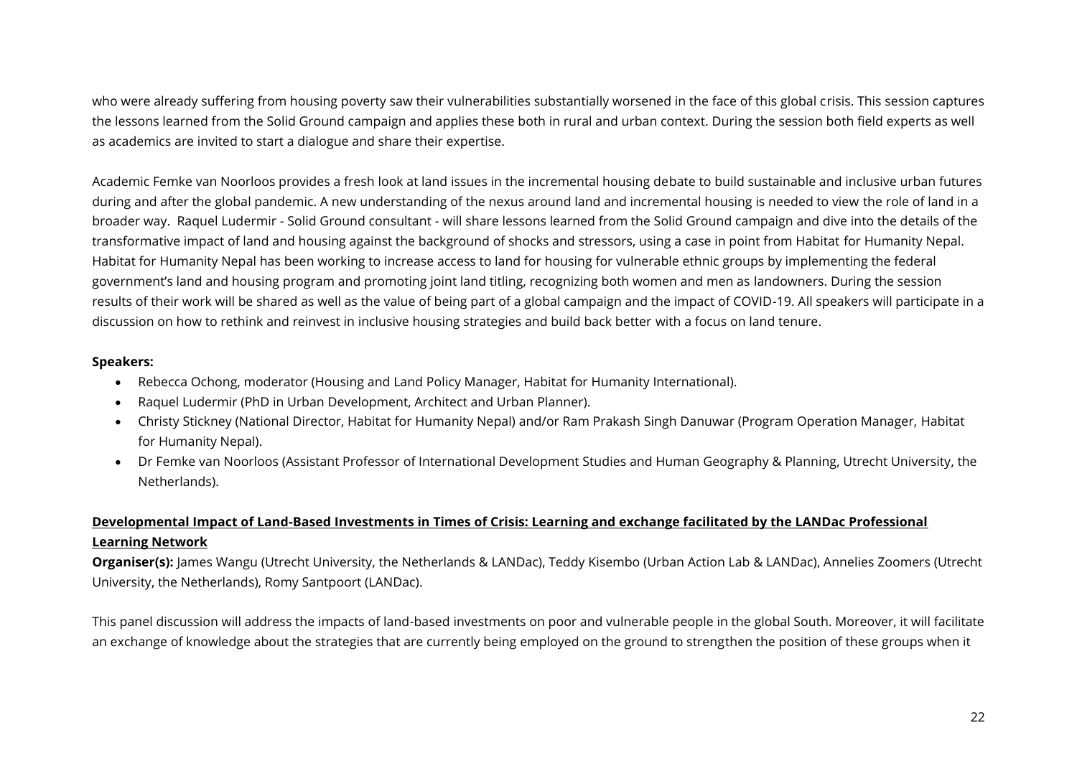who were already suffering from housing poverty saw their vulnerabilities substantially worsened in the face of this global crisis. This session captures the lessons learned from the Solid Ground campaign and applies these both in rural and urban context. During the session both field experts as well as academics are invited to start a dialogue and share their expertise.

Academic Femke van Noorloos provides a fresh look at land issues in the incremental housing debate to build sustainable and inclusive urban futures during and after the global pandemic. A new understanding of the nexus around land and incremental housing is needed to view the role of land in a broader way. Raquel Ludermir - Solid Ground consultant - will share lessons learned from the Solid Ground campaign and dive into the details of the transformative impact of land and housing against the background of shocks and stressors, using a case in point from Habitat for Humanity Nepal. Habitat for Humanity Nepal has been working to increase access to land for housing for vulnerable ethnic groups by implementing the federal government's land and housing program and promoting joint land titling, recognizing both women and men as landowners. During the session results of their work will be shared as well as the value of being part of a global campaign and the impact of COVID-19. All speakers will participate in a discussion on how to rethink and reinvest in inclusive housing strategies and build back better with a focus on land tenure.

#### **Speakers:**

- Rebecca Ochong, moderator (Housing and Land Policy Manager, Habitat for Humanity International).
- Raquel Ludermir (PhD in Urban Development, Architect and Urban Planner).
- Christy Stickney (National Director, Habitat for Humanity Nepal) and/or Ram Prakash Singh Danuwar (Program Operation Manager, Habitat for Humanity Nepal).
- Dr Femke van Noorloos (Assistant Professor of International Development Studies and Human Geography & Planning, Utrecht University, the Netherlands).

#### **Developmental Impact of Land-Based Investments in Times of Crisis: Learning and exchange facilitated by the LANDac Professional Learning Network**

**Organiser(s):** James Wangu (Utrecht University, the Netherlands & LANDac), Teddy Kisembo (Urban Action Lab & LANDac), Annelies Zoomers (Utrecht University, the Netherlands), Romy Santpoort (LANDac).

This panel discussion will address the impacts of land-based investments on poor and vulnerable people in the global South. Moreover, it will facilitate an exchange of knowledge about the strategies that are currently being employed on the ground to strengthen the position of these groups when it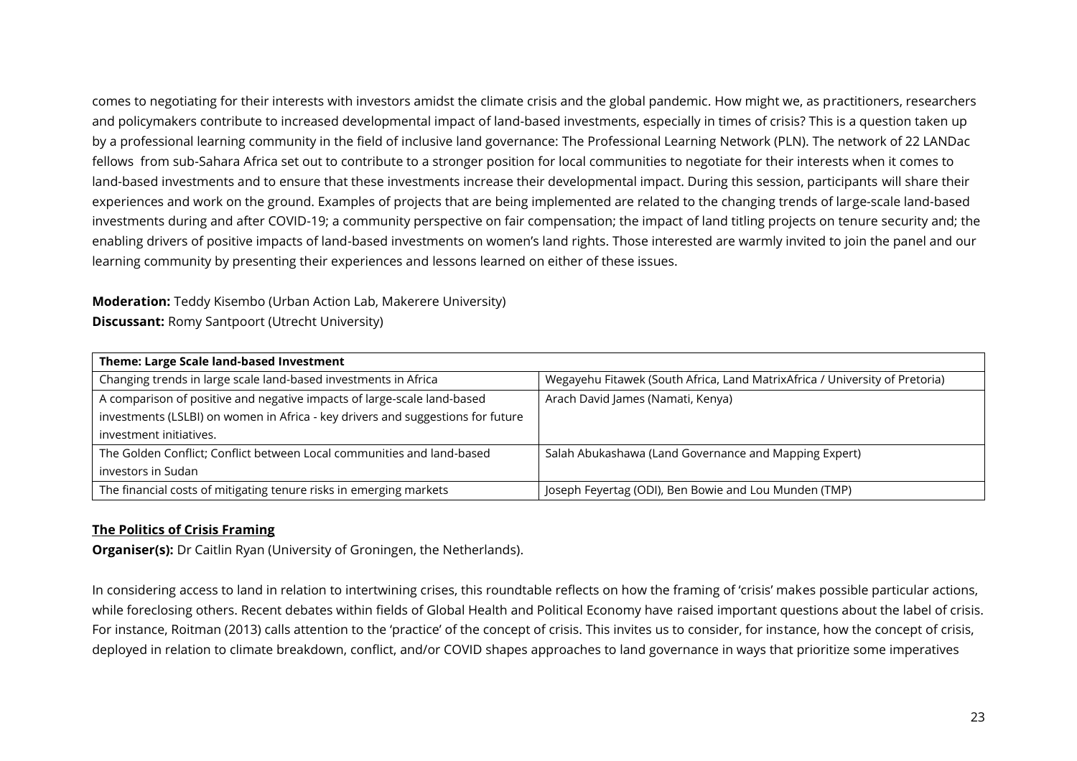comes to negotiating for their interests with investors amidst the climate crisis and the global pandemic. How might we, as practitioners, researchers and policymakers contribute to increased developmental impact of land-based investments, especially in times of crisis? This is a question taken up by a professional learning community in the field of inclusive land governance: The Professional Learning Network (PLN). The network of 22 LANDac fellows from sub-Sahara Africa set out to contribute to a stronger position for local communities to negotiate for their interests when it comes to land-based investments and to ensure that these investments increase their developmental impact. During this session, participants will share their experiences and work on the ground. Examples of projects that are being implemented are related to the changing trends of large-scale land-based investments during and after COVID-19; a community perspective on fair compensation; the impact of land titling projects on tenure security and; the enabling drivers of positive impacts of land-based investments on women's land rights. Those interested are warmly invited to join the panel and our learning community by presenting their experiences and lessons learned on either of these issues.

# **Moderation:** Teddy Kisembo (Urban Action Lab, Makerere University)

**Discussant:** Romy Santpoort (Utrecht University)

| Theme: Large Scale land-based Investment                                        |                                                                             |
|---------------------------------------------------------------------------------|-----------------------------------------------------------------------------|
| Changing trends in large scale land-based investments in Africa                 | Wegayehu Fitawek (South Africa, Land MatrixAfrica / University of Pretoria) |
| A comparison of positive and negative impacts of large-scale land-based         | Arach David James (Namati, Kenya)                                           |
| investments (LSLBI) on women in Africa - key drivers and suggestions for future |                                                                             |
| investment initiatives.                                                         |                                                                             |
| The Golden Conflict; Conflict between Local communities and land-based          | Salah Abukashawa (Land Governance and Mapping Expert)                       |
| investors in Sudan                                                              |                                                                             |
| The financial costs of mitigating tenure risks in emerging markets              | Joseph Feyertag (ODI), Ben Bowie and Lou Munden (TMP)                       |

#### **The Politics of Crisis Framing**

**Organiser(s):** Dr Caitlin Ryan (University of Groningen, the Netherlands).

In considering access to land in relation to intertwining crises, this roundtable reflects on how the framing of 'crisis' makes possible particular actions, while foreclosing others. Recent debates within fields of Global Health and Political Economy have raised important questions about the label of crisis. For instance, Roitman (2013) calls attention to the 'practice' of the concept of crisis. This invites us to consider, for instance, how the concept of crisis, deployed in relation to climate breakdown, conflict, and/or COVID shapes approaches to land governance in ways that prioritize some imperatives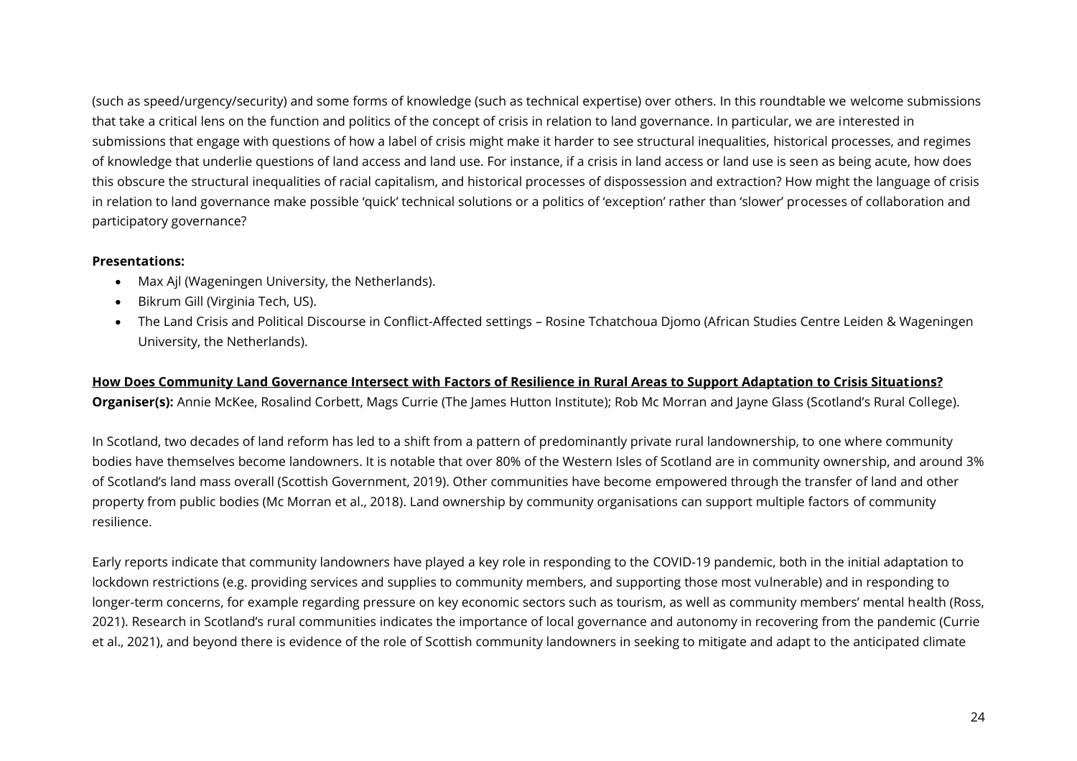(such as speed/urgency/security) and some forms of knowledge (such as technical expertise) over others. In this roundtable we welcome submissions that take a critical lens on the function and politics of the concept of crisis in relation to land governance. In particular, we are interested in submissions that engage with questions of how a label of crisis might make it harder to see structural inequalities, historical processes, and regimes of knowledge that underlie questions of land access and land use. For instance, if a crisis in land access or land use is seen as being acute, how does this obscure the structural inequalities of racial capitalism, and historical processes of dispossession and extraction? How might the language of crisis in relation to land governance make possible 'quick' technical solutions or a politics of 'exception' rather than 'slower' processes of collaboration and participatory governance?

#### **Presentations:**

- Max Ajl (Wageningen University, the Netherlands).
- Bikrum Gill (Virginia Tech, US).
- The Land Crisis and Political Discourse in Conflict-Affected settings Rosine Tchatchoua Djomo (African Studies Centre Leiden & Wageningen University, the Netherlands).

#### **How Does Community Land Governance Intersect with Factors of Resilience in Rural Areas to Support Adaptation to Crisis Situations? Organiser(s):** Annie McKee, Rosalind Corbett, Mags Currie (The James Hutton Institute); Rob Mc Morran and Jayne Glass (Scotland's Rural College).

In Scotland, two decades of land reform has led to a shift from a pattern of predominantly private rural landownership, to one where community bodies have themselves become landowners. It is notable that over 80% of the Western Isles of Scotland are in community ownership, and around 3% of Scotland's land mass overall (Scottish Government, 2019). Other communities have become empowered through the transfer of land and other property from public bodies (Mc Morran et al., 2018). Land ownership by community organisations can support multiple factors of community resilience.

Early reports indicate that community landowners have played a key role in responding to the COVID-19 pandemic, both in the initial adaptation to lockdown restrictions (e.g. providing services and supplies to community members, and supporting those most vulnerable) and in responding to longer-term concerns, for example regarding pressure on key economic sectors such as tourism, as well as community members' mental health (Ross, 2021). Research in Scotland's rural communities indicates the importance of local governance and autonomy in recovering from the pandemic (Currie et al., 2021), and beyond there is evidence of the role of Scottish community landowners in seeking to mitigate and adapt to the anticipated climate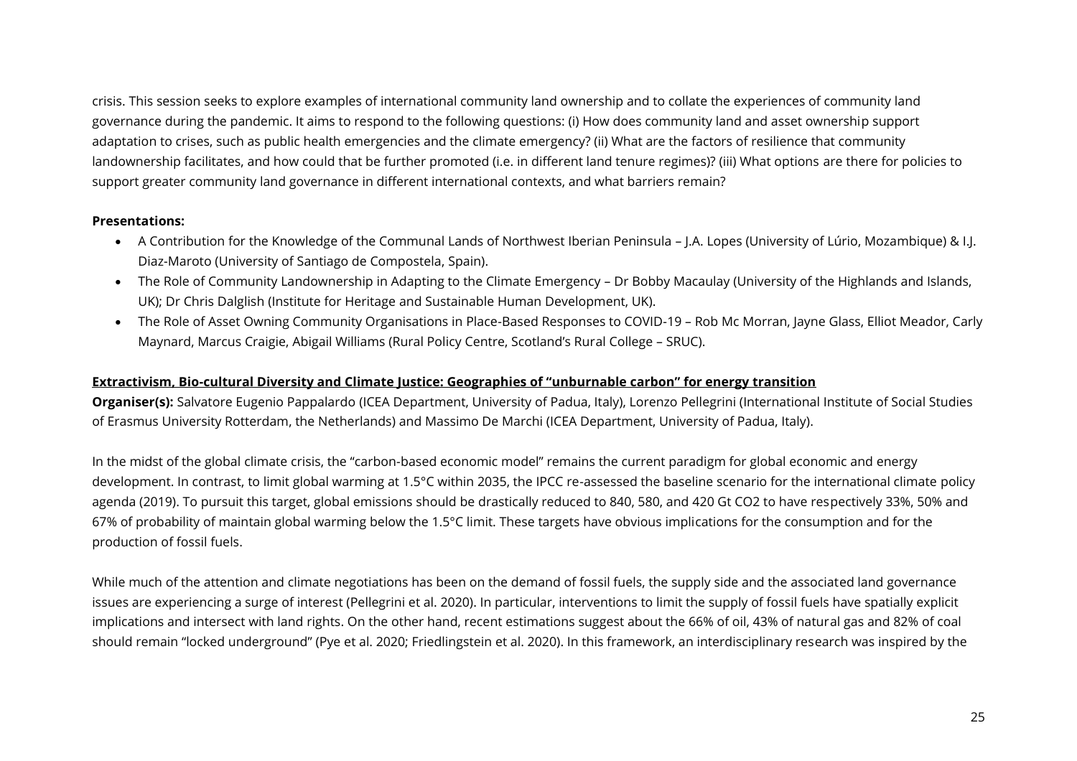crisis. This session seeks to explore examples of international community land ownership and to collate the experiences of community land governance during the pandemic. It aims to respond to the following questions: (i) How does community land and asset ownership support adaptation to crises, such as public health emergencies and the climate emergency? (ii) What are the factors of resilience that community landownership facilitates, and how could that be further promoted (i.e. in different land tenure regimes)? (iii) What options are there for policies to support greater community land governance in different international contexts, and what barriers remain?

#### **Presentations:**

- A Contribution for the Knowledge of the Communal Lands of Northwest Iberian Peninsula J.A. Lopes (University of Lúrio, Mozambique) & I.J. Diaz-Maroto (University of Santiago de Compostela, Spain).
- The Role of Community Landownership in Adapting to the Climate Emergency Dr Bobby Macaulay (University of the Highlands and Islands, UK); Dr Chris Dalglish (Institute for Heritage and Sustainable Human Development, UK).
- The Role of Asset Owning Community Organisations in Place-Based Responses to COVID-19 Rob Mc Morran, Jayne Glass, Elliot Meador, Carly Maynard, Marcus Craigie, Abigail Williams (Rural Policy Centre, Scotland's Rural College – SRUC).

#### **Extractivism, Bio-cultural Diversity and Climate Justice: Geographies of "unburnable carbon" for energy transition**

**Organiser(s):** Salvatore Eugenio Pappalardo (ICEA Department, University of Padua, Italy), Lorenzo Pellegrini (International Institute of Social Studies of Erasmus University Rotterdam, the Netherlands) and Massimo De Marchi (ICEA Department, University of Padua, Italy).

In the midst of the global climate crisis, the "carbon-based economic model" remains the current paradigm for global economic and energy development. In contrast, to limit global warming at 1.5°C within 2035, the IPCC re-assessed the baseline scenario for the international climate policy agenda (2019). To pursuit this target, global emissions should be drastically reduced to 840, 580, and 420 Gt CO2 to have respectively 33%, 50% and 67% of probability of maintain global warming below the 1.5°C limit. These targets have obvious implications for the consumption and for the production of fossil fuels.

While much of the attention and climate negotiations has been on the demand of fossil fuels, the supply side and the associated land governance issues are experiencing a surge of interest (Pellegrini et al. 2020). In particular, interventions to limit the supply of fossil fuels have spatially explicit implications and intersect with land rights. On the other hand, recent estimations suggest about the 66% of oil, 43% of natural gas and 82% of coal should remain "locked underground" (Pye et al. 2020; Friedlingstein et al. 2020). In this framework, an interdisciplinary research was inspired by the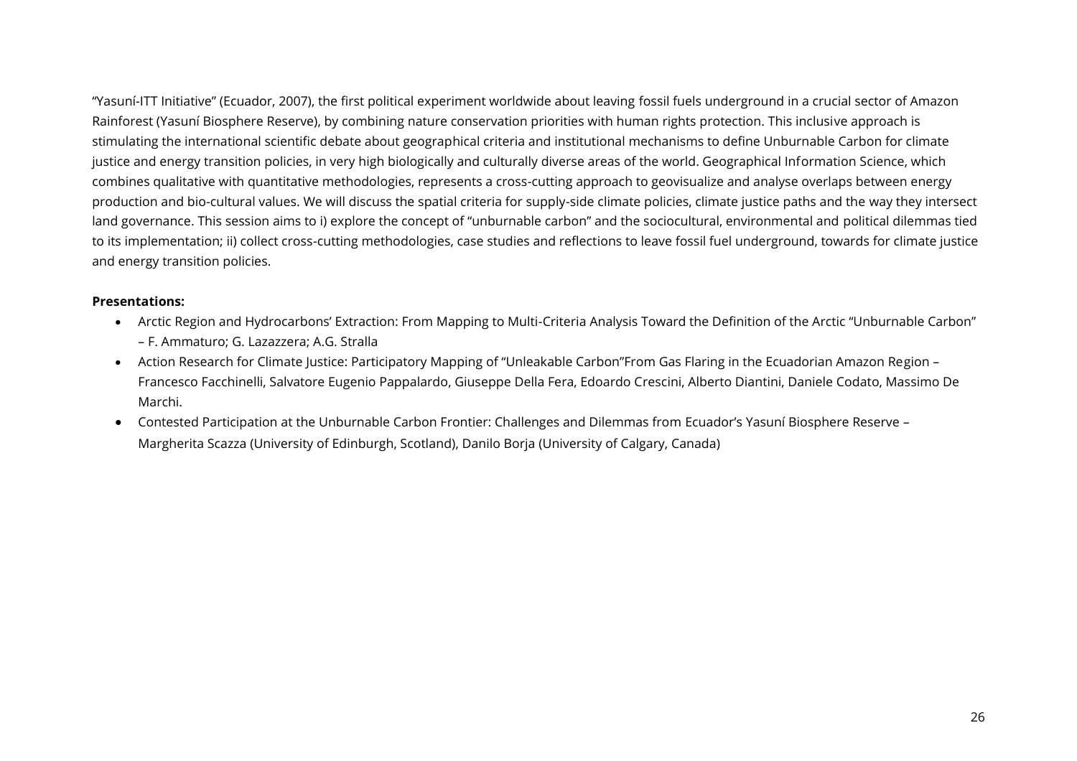"Yasuní-ITT Initiative" (Ecuador, 2007), the first political experiment worldwide about leaving fossil fuels underground in a crucial sector of Amazon Rainforest (Yasuní Biosphere Reserve), by combining nature conservation priorities with human rights protection. This inclusive approach is stimulating the international scientific debate about geographical criteria and institutional mechanisms to define Unburnable Carbon for climate justice and energy transition policies, in very high biologically and culturally diverse areas of the world. Geographical Information Science, which combines qualitative with quantitative methodologies, represents a cross-cutting approach to geovisualize and analyse overlaps between energy production and bio-cultural values. We will discuss the spatial criteria for supply-side climate policies, climate justice paths and the way they intersect land governance. This session aims to i) explore the concept of "unburnable carbon" and the sociocultural, environmental and political dilemmas tied to its implementation; ii) collect cross-cutting methodologies, case studies and reflections to leave fossil fuel underground, towards for climate justice and energy transition policies.

- Arctic Region and Hydrocarbons' Extraction: From Mapping to Multi-Criteria Analysis Toward the Definition of the Arctic "Unburnable Carbon" – F. Ammaturo; G. Lazazzera; A.G. Stralla
- Action Research for Climate Justice: Participatory Mapping of "Unleakable Carbon"From Gas Flaring in the Ecuadorian Amazon Region Francesco Facchinelli, Salvatore Eugenio Pappalardo, Giuseppe Della Fera, Edoardo Crescini, Alberto Diantini, Daniele Codato, Massimo De Marchi.
- Contested Participation at the Unburnable Carbon Frontier: Challenges and Dilemmas from Ecuador's Yasuní Biosphere Reserve Margherita Scazza (University of Edinburgh, Scotland), Danilo Borja (University of Calgary, Canada)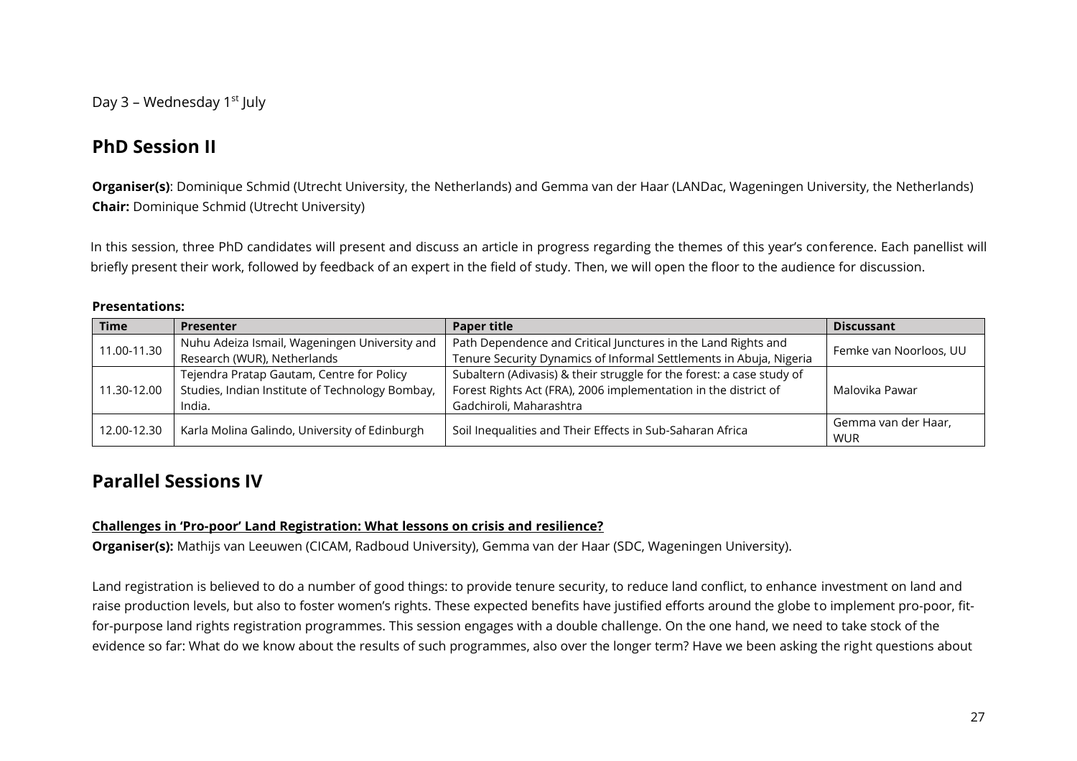<span id="page-26-0"></span>Day 3 - Wednesday 1<sup>st</sup> July

# <span id="page-26-1"></span>**PhD Session II**

**Organiser(s)**: Dominique Schmid (Utrecht University, the Netherlands) and Gemma van der Haar (LANDac, Wageningen University, the Netherlands) **Chair:** Dominique Schmid (Utrecht University)

In this session, three PhD candidates will present and discuss an article in progress regarding the themes of this year's conference. Each panellist will briefly present their work, followed by feedback of an expert in the field of study. Then, we will open the floor to the audience for discussion.

#### **Presentations:**

| <b>Time</b> | <b>Presenter</b>                                                                                               | <b>Paper title</b>                                                    | <b>Discussant</b>                 |
|-------------|----------------------------------------------------------------------------------------------------------------|-----------------------------------------------------------------------|-----------------------------------|
| 11.00-11.30 | Path Dependence and Critical Junctures in the Land Rights and<br>Nuhu Adeiza Ismail, Wageningen University and |                                                                       | Femke van Noorloos, UU            |
|             | Research (WUR), Netherlands                                                                                    | Tenure Security Dynamics of Informal Settlements in Abuja, Nigeria    |                                   |
| 11.30-12.00 | Tejendra Pratap Gautam, Centre for Policy                                                                      | Subaltern (Adivasis) & their struggle for the forest: a case study of |                                   |
|             | Studies, Indian Institute of Technology Bombay,                                                                | Forest Rights Act (FRA), 2006 implementation in the district of       | Malovika Pawar                    |
|             | India.                                                                                                         | Gadchiroli, Maharashtra                                               |                                   |
| 12.00-12.30 | Karla Molina Galindo, University of Edinburgh                                                                  | Soil Inequalities and Their Effects in Sub-Saharan Africa             | Gemma van der Haar,<br><b>WUR</b> |

# <span id="page-26-2"></span>**Parallel Sessions IV**

#### **Challenges in 'Pro-poor' Land Registration: What lessons on crisis and resilience?**

**Organiser(s):** Mathijs van Leeuwen (CICAM, Radboud University), Gemma van der Haar (SDC, Wageningen University).

Land registration is believed to do a number of good things: to provide tenure security, to reduce land conflict, to enhance investment on land and raise production levels, but also to foster women's rights. These expected benefits have justified efforts around the globe to implement pro-poor, fitfor-purpose land rights registration programmes. This session engages with a double challenge. On the one hand, we need to take stock of the evidence so far: What do we know about the results of such programmes, also over the longer term? Have we been asking the right questions about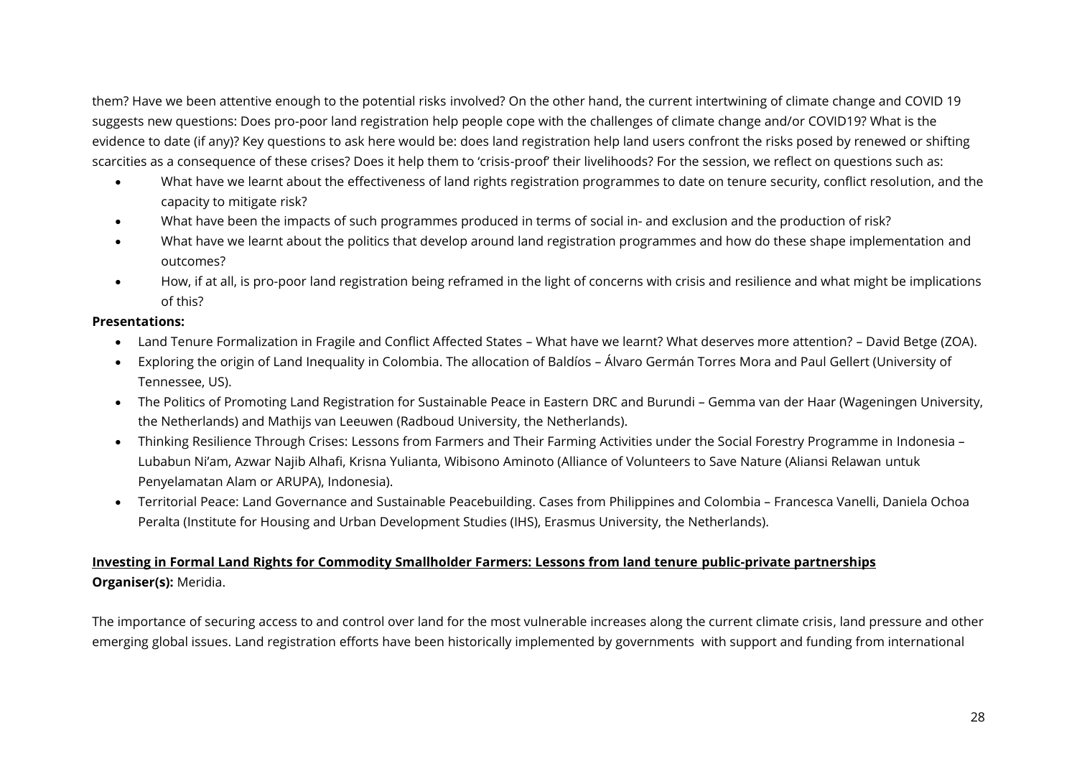them? Have we been attentive enough to the potential risks involved? On the other hand, the current intertwining of climate change and COVID 19 suggests new questions: Does pro-poor land registration help people cope with the challenges of climate change and/or COVID19? What is the evidence to date (if any)? Key questions to ask here would be: does land registration help land users confront the risks posed by renewed or shifting scarcities as a consequence of these crises? Does it help them to 'crisis-proof' their livelihoods? For the session, we reflect on questions such as:

- What have we learnt about the effectiveness of land rights registration programmes to date on tenure security, conflict resolution, and the capacity to mitigate risk?
- What have been the impacts of such programmes produced in terms of social in- and exclusion and the production of risk?
- What have we learnt about the politics that develop around land registration programmes and how do these shape implementation and outcomes?
- How, if at all, is pro-poor land registration being reframed in the light of concerns with crisis and resilience and what might be implications of this?

#### **Presentations:**

- Land Tenure Formalization in Fragile and Conflict Affected States What have we learnt? What deserves more attention? David Betge (ZOA).
- Exploring the origin of Land Inequality in Colombia. The allocation of Baldíos Álvaro Germán Torres Mora and Paul Gellert (University of Tennessee, US).
- The Politics of Promoting Land Registration for Sustainable Peace in Eastern DRC and Burundi Gemma van der Haar (Wageningen University, the Netherlands) and Mathijs van Leeuwen (Radboud University, the Netherlands).
- Thinking Resilience Through Crises: Lessons from Farmers and Their Farming Activities under the Social Forestry Programme in Indonesia Lubabun Ni'am, Azwar Najib Alhafi, Krisna Yulianta, Wibisono Aminoto (Alliance of Volunteers to Save Nature (Aliansi Relawan untuk Penyelamatan Alam or ARUPA), Indonesia).
- Territorial Peace: Land Governance and Sustainable Peacebuilding. Cases from Philippines and Colombia Francesca Vanelli, Daniela Ochoa Peralta (Institute for Housing and Urban Development Studies (IHS), Erasmus University, the Netherlands).

#### **Investing in Formal Land Rights for Commodity Smallholder Farmers: Lessons from land tenure public-private partnerships Organiser(s):** Meridia.

The importance of securing access to and control over land for the most vulnerable increases along the current climate crisis, land pressure and other emerging global issues. Land registration efforts have been historically implemented by governments with support and funding from international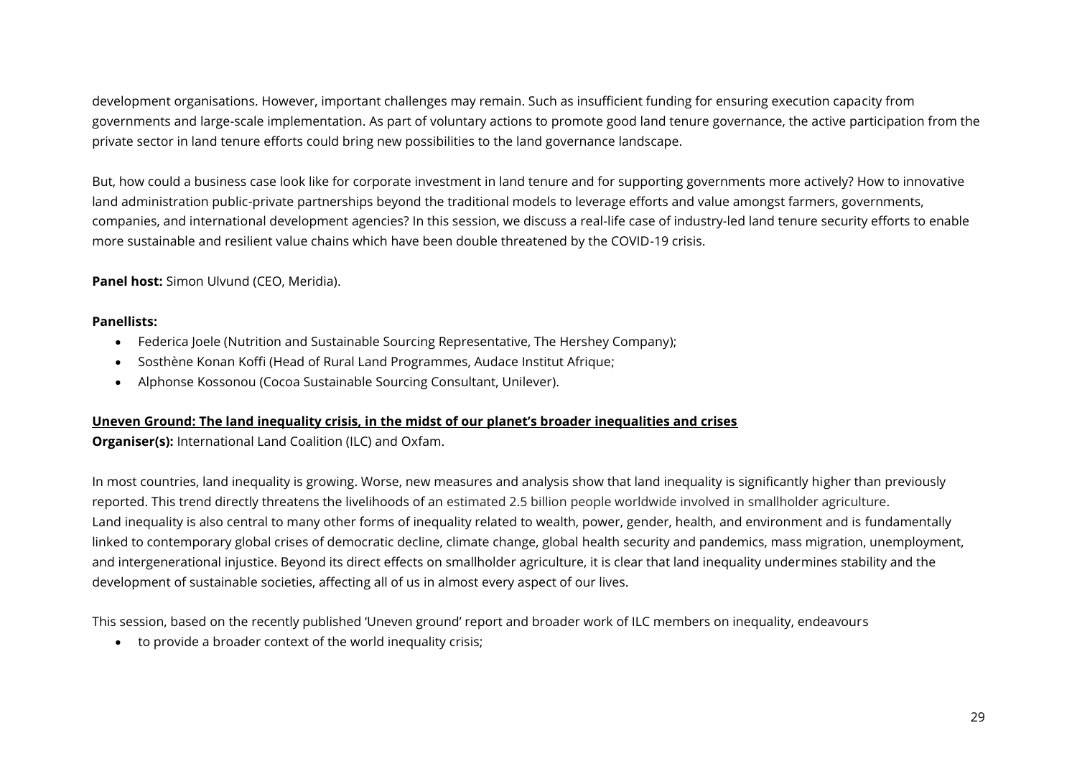development organisations. However, important challenges may remain. Such as insufficient funding for ensuring execution capacity from governments and large-scale implementation. As part of voluntary actions to promote good land tenure governance, the active participation from the private sector in land tenure efforts could bring new possibilities to the land governance landscape.

But, how could a business case look like for corporate investment in land tenure and for supporting governments more actively? How to innovative land administration public-private partnerships beyond the traditional models to leverage efforts and value amongst farmers, governments, companies, and international development agencies? In this session, we discuss a real-life case of industry-led land tenure security efforts to enable more sustainable and resilient value chains which have been double threatened by the COVID-19 crisis.

**Panel host:** Simon Ulvund (CEO, Meridia).

#### **Panellists:**

- Federica Joele (Nutrition and Sustainable Sourcing Representative, The Hershey Company);
- Sosthène Konan Koffi (Head of Rural Land Programmes, Audace Institut Afrique;
- Alphonse Kossonou (Cocoa Sustainable Sourcing Consultant, Unilever).

#### **Uneven Ground: The land inequality crisis, in the midst of our planet's broader inequalities and crises**

**Organiser(s):** International Land Coalition (ILC) and Oxfam.

In most countries, land inequality is growing. Worse, new measures and analysis show that land inequality is significantly higher than previously reported. This trend directly threatens the livelihoods of an estimated 2.5 billion people worldwide involved in smallholder agriculture. Land inequality is also central to many other forms of inequality related to wealth, power, gender, health, and environment and is fundamentally linked to contemporary global crises of democratic decline, climate change, global health security and pandemics, mass migration, unemployment, and intergenerational injustice. Beyond its direct effects on smallholder agriculture, it is clear that land inequality undermines stability and the development of sustainable societies, affecting all of us in almost every aspect of our lives.

This session, based on the recently published 'Uneven ground' report and broader work of ILC members on inequality, endeavours

• to provide a broader context of the world inequality crisis;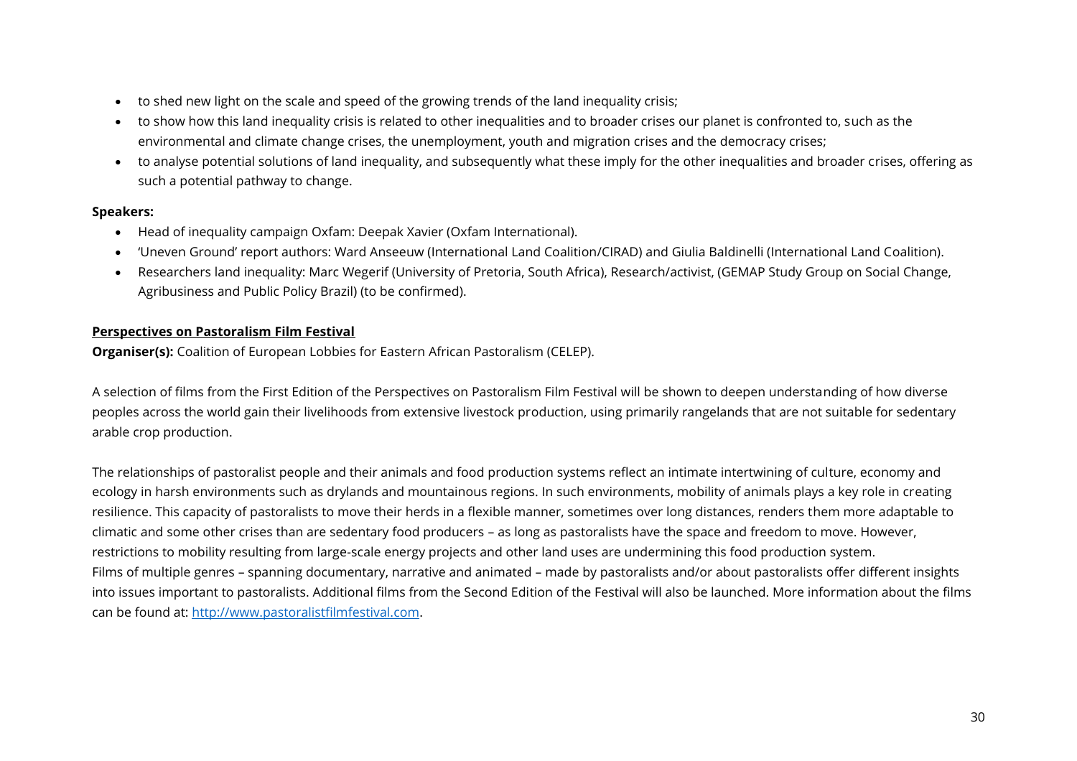- to shed new light on the scale and speed of the growing trends of the land inequality crisis;
- to show how this land inequality crisis is related to other inequalities and to broader crises our planet is confronted to, such as the environmental and climate change crises, the unemployment, youth and migration crises and the democracy crises;
- to analyse potential solutions of land inequality, and subsequently what these imply for the other inequalities and broader crises, offering as such a potential pathway to change.

#### **Speakers:**

- Head of inequality campaign Oxfam: Deepak Xavier (Oxfam International).
- 'Uneven Ground' report authors: Ward Anseeuw (International Land Coalition/CIRAD) and Giulia Baldinelli (International Land Coalition).
- Researchers land inequality: Marc Wegerif (University of Pretoria, South Africa), Research/activist, (GEMAP Study Group on Social Change, Agribusiness and Public Policy Brazil) (to be confirmed).

#### **Perspectives on Pastoralism Film Festival**

**Organiser(s):** Coalition of European Lobbies for Eastern African Pastoralism (CELEP).

A selection of films from the First Edition of the Perspectives on Pastoralism Film Festival will be shown to deepen understanding of how diverse peoples across the world gain their livelihoods from extensive livestock production, using primarily rangelands that are not suitable for sedentary arable crop production.

The relationships of pastoralist people and their animals and food production systems reflect an intimate intertwining of culture, economy and ecology in harsh environments such as drylands and mountainous regions. In such environments, mobility of animals plays a key role in creating resilience. This capacity of pastoralists to move their herds in a flexible manner, sometimes over long distances, renders them more adaptable to climatic and some other crises than are sedentary food producers – as long as pastoralists have the space and freedom to move. However, restrictions to mobility resulting from large-scale energy projects and other land uses are undermining this food production system. Films of multiple genres – spanning documentary, narrative and animated – made by pastoralists and/or about pastoralists offer different insights into issues important to pastoralists. Additional films from the Second Edition of the Festival will also be launched. More information about the films can be found at: [http://www.pastoralistfilmfestival.com.](http://www.pastoralistfilmfestival.com/)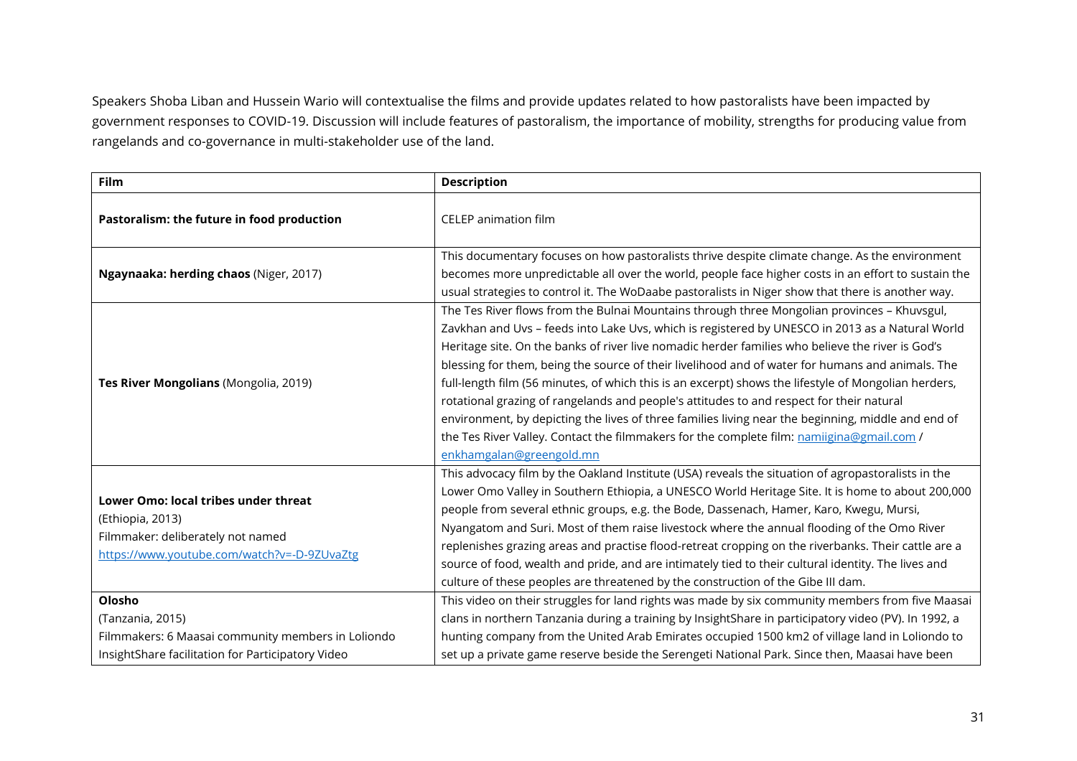Speakers Shoba Liban and Hussein Wario will contextualise the films and provide updates related to how pastoralists have been impacted by government responses to COVID-19. Discussion will include features of pastoralism, the importance of mobility, strengths for producing value from rangelands and co-governance in multi-stakeholder use of the land.

| Film                                                                                                                                         | <b>Description</b>                                                                                                                                                                                                                                                                                                                                                                                                                                                                                                                                                                                                                                                                                                                                                                                                                        |
|----------------------------------------------------------------------------------------------------------------------------------------------|-------------------------------------------------------------------------------------------------------------------------------------------------------------------------------------------------------------------------------------------------------------------------------------------------------------------------------------------------------------------------------------------------------------------------------------------------------------------------------------------------------------------------------------------------------------------------------------------------------------------------------------------------------------------------------------------------------------------------------------------------------------------------------------------------------------------------------------------|
| Pastoralism: the future in food production                                                                                                   | <b>CELEP</b> animation film                                                                                                                                                                                                                                                                                                                                                                                                                                                                                                                                                                                                                                                                                                                                                                                                               |
| Ngaynaaka: herding chaos (Niger, 2017)                                                                                                       | This documentary focuses on how pastoralists thrive despite climate change. As the environment<br>becomes more unpredictable all over the world, people face higher costs in an effort to sustain the<br>usual strategies to control it. The WoDaabe pastoralists in Niger show that there is another way.                                                                                                                                                                                                                                                                                                                                                                                                                                                                                                                                |
| Tes River Mongolians (Mongolia, 2019)                                                                                                        | The Tes River flows from the Bulnai Mountains through three Mongolian provinces - Khuvsgul,<br>Zavkhan and Uvs - feeds into Lake Uvs, which is registered by UNESCO in 2013 as a Natural World<br>Heritage site. On the banks of river live nomadic herder families who believe the river is God's<br>blessing for them, being the source of their livelihood and of water for humans and animals. The<br>full-length film (56 minutes, of which this is an excerpt) shows the lifestyle of Mongolian herders,<br>rotational grazing of rangelands and people's attitudes to and respect for their natural<br>environment, by depicting the lives of three families living near the beginning, middle and end of<br>the Tes River Valley. Contact the filmmakers for the complete film: namiigina@gmail.com /<br>enkhamgalan@greengold.mn |
| Lower Omo: local tribes under threat<br>(Ethiopia, 2013)<br>Filmmaker: deliberately not named<br>https://www.youtube.com/watch?v=-D-9ZUvaZtg | This advocacy film by the Oakland Institute (USA) reveals the situation of agropastoralists in the<br>Lower Omo Valley in Southern Ethiopia, a UNESCO World Heritage Site. It is home to about 200,000<br>people from several ethnic groups, e.g. the Bode, Dassenach, Hamer, Karo, Kwegu, Mursi,<br>Nyangatom and Suri. Most of them raise livestock where the annual flooding of the Omo River<br>replenishes grazing areas and practise flood-retreat cropping on the riverbanks. Their cattle are a<br>source of food, wealth and pride, and are intimately tied to their cultural identity. The lives and<br>culture of these peoples are threatened by the construction of the Gibe III dam.                                                                                                                                        |
| Olosho                                                                                                                                       | This video on their struggles for land rights was made by six community members from five Maasai                                                                                                                                                                                                                                                                                                                                                                                                                                                                                                                                                                                                                                                                                                                                          |
| (Tanzania, 2015)                                                                                                                             | clans in northern Tanzania during a training by InsightShare in participatory video (PV). In 1992, a                                                                                                                                                                                                                                                                                                                                                                                                                                                                                                                                                                                                                                                                                                                                      |
| Filmmakers: 6 Maasai community members in Loliondo                                                                                           | hunting company from the United Arab Emirates occupied 1500 km2 of village land in Loliondo to                                                                                                                                                                                                                                                                                                                                                                                                                                                                                                                                                                                                                                                                                                                                            |
| InsightShare facilitation for Participatory Video                                                                                            | set up a private game reserve beside the Serengeti National Park. Since then, Maasai have been                                                                                                                                                                                                                                                                                                                                                                                                                                                                                                                                                                                                                                                                                                                                            |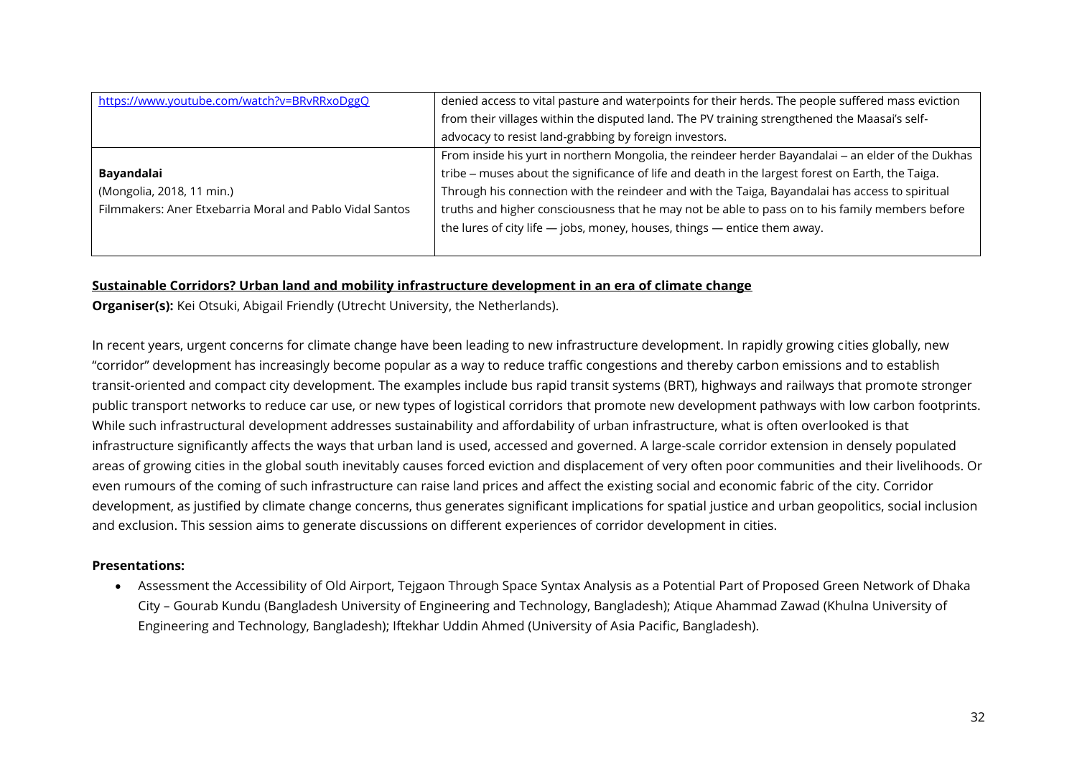| https://www.youtube.com/watch?v=BRvRRxoDggQ              | denied access to vital pasture and waterpoints for their herds. The people suffered mass eviction  |
|----------------------------------------------------------|----------------------------------------------------------------------------------------------------|
|                                                          | from their villages within the disputed land. The PV training strengthened the Maasai's self-      |
|                                                          | advocacy to resist land-grabbing by foreign investors.                                             |
|                                                          | From inside his yurt in northern Mongolia, the reindeer herder Bayandalai - an elder of the Dukhas |
| Bayandalai                                               | tribe - muses about the significance of life and death in the largest forest on Earth, the Taiga.  |
| (Mongolia, 2018, 11 min.)                                | Through his connection with the reindeer and with the Taiga, Bayandalai has access to spiritual    |
| Filmmakers: Aner Etxebarria Moral and Pablo Vidal Santos | truths and higher consciousness that he may not be able to pass on to his family members before    |
|                                                          | the lures of city life $-$ jobs, money, houses, things $-$ entice them away.                       |
|                                                          |                                                                                                    |

#### **Sustainable Corridors? Urban land and mobility infrastructure development in an era of climate change**

**Organiser(s):** Kei Otsuki, Abigail Friendly (Utrecht University, the Netherlands).

In recent years, urgent concerns for climate change have been leading to new infrastructure development. In rapidly growing cities globally, new "corridor" development has increasingly become popular as a way to reduce traffic congestions and thereby carbon emissions and to establish transit-oriented and compact city development. The examples include bus rapid transit systems (BRT), highways and railways that promote stronger public transport networks to reduce car use, or new types of logistical corridors that promote new development pathways with low carbon footprints. While such infrastructural development addresses sustainability and affordability of urban infrastructure, what is often overlooked is that infrastructure significantly affects the ways that urban land is used, accessed and governed. A large-scale corridor extension in densely populated areas of growing cities in the global south inevitably causes forced eviction and displacement of very often poor communities and their livelihoods. Or even rumours of the coming of such infrastructure can raise land prices and affect the existing social and economic fabric of the city. Corridor development, as justified by climate change concerns, thus generates significant implications for spatial justice and urban geopolitics, social inclusion and exclusion. This session aims to generate discussions on different experiences of corridor development in cities.

#### **Presentations:**

• Assessment the Accessibility of Old Airport, Tejgaon Through Space Syntax Analysis as a Potential Part of Proposed Green Network of Dhaka City – Gourab Kundu (Bangladesh University of Engineering and Technology, Bangladesh); Atique Ahammad Zawad (Khulna University of Engineering and Technology, Bangladesh); Iftekhar Uddin Ahmed (University of Asia Pacific, Bangladesh).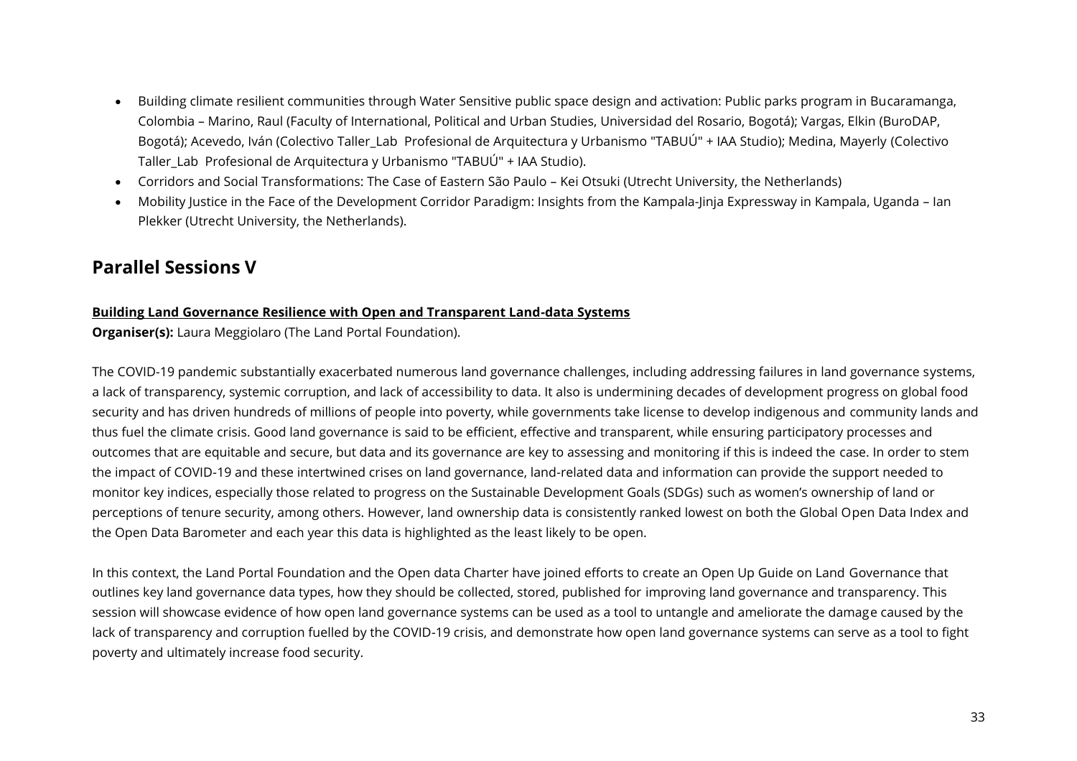- Building climate resilient communities through Water Sensitive public space design and activation: Public parks program in Bucaramanga, Colombia – Marino, Raul (Faculty of International, Political and Urban Studies, Universidad del Rosario, Bogotá); Vargas, Elkin (BuroDAP, Bogotá); Acevedo, Iván (Colectivo Taller\_Lab Profesional de Arquitectura y Urbanismo "TABUÚ" + IAA Studio); Medina, Mayerly (Colectivo Taller Lab Profesional de Arquitectura y Urbanismo "TABUÚ" + IAA Studio).
- Corridors and Social Transformations: The Case of Eastern São Paulo Kei Otsuki (Utrecht University, the Netherlands)
- Mobility Justice in the Face of the Development Corridor Paradigm: Insights from the Kampala-Jinja Expressway in Kampala, Uganda Ian Plekker (Utrecht University, the Netherlands).

# <span id="page-32-0"></span>**Parallel Sessions V**

#### **Building Land Governance Resilience with Open and Transparent Land-data Systems**

**Organiser(s):** Laura Meggiolaro (The Land Portal Foundation).

The COVID-19 pandemic substantially exacerbated numerous land governance challenges, including addressing failures in land governance systems, a lack of transparency, systemic corruption, and lack of accessibility to data. It also is undermining decades of development progress on global food security and has driven hundreds of millions of people into poverty, while governments take license to develop indigenous and community lands and thus fuel the climate crisis. Good land governance is said to be efficient, effective and transparent, while ensuring participatory processes and outcomes that are equitable and secure, but data and its governance are key to assessing and monitoring if this is indeed the case. In order to stem the impact of COVID-19 and these intertwined crises on land governance, land-related data and information can provide the support needed to monitor key indices, especially those related to progress on the Sustainable Development Goals (SDGs) such as women's ownership of land or perceptions of tenure security, among others. However, land ownership data is consistently ranked lowest on both the Global Open Data Index and the Open Data Barometer and each year this data is highlighted as the least likely to be open.

In this context, the Land Portal Foundation and the Open data Charter have joined efforts to create an Open Up Guide on Land Governance that outlines key land governance data types, how they should be collected, stored, published for improving land governance and transparency. This session will showcase evidence of how open land governance systems can be used as a tool to untangle and ameliorate the damage caused by the lack of transparency and corruption fuelled by the COVID-19 crisis, and demonstrate how open land governance systems can serve as a tool to fight poverty and ultimately increase food security.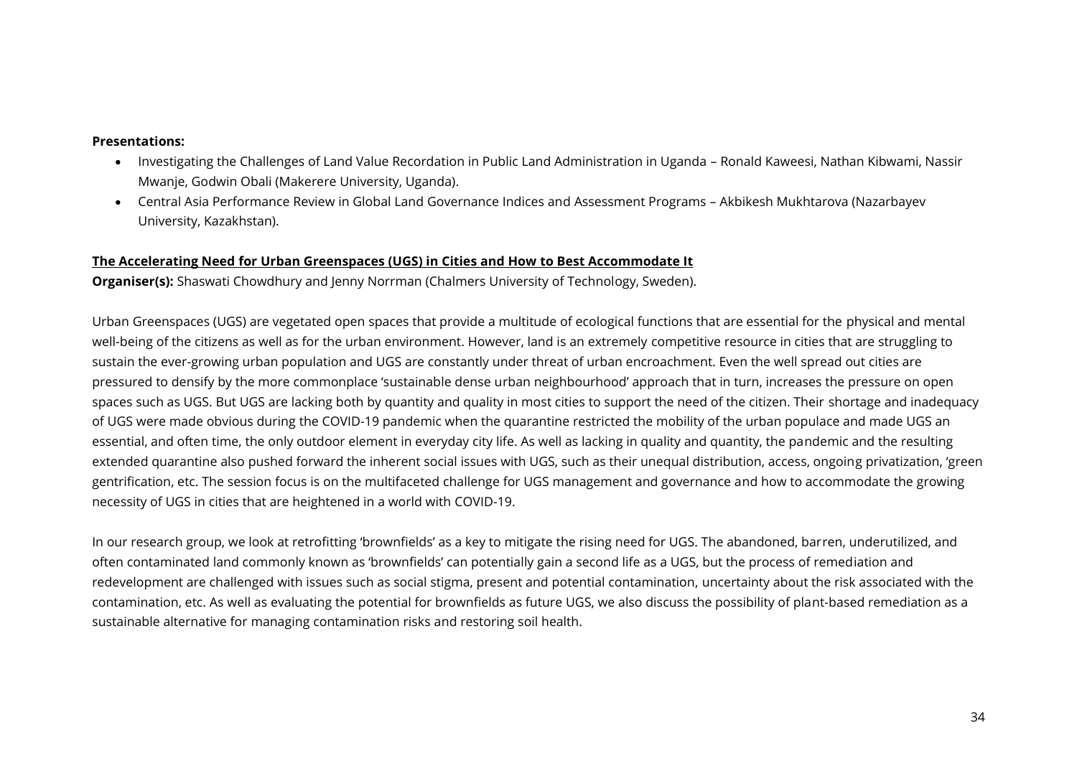- Investigating the Challenges of Land Value Recordation in Public Land Administration in Uganda Ronald Kaweesi, Nathan Kibwami, Nassir Mwanje, Godwin Obali (Makerere University, Uganda).
- Central Asia Performance Review in Global Land Governance Indices and Assessment Programs Akbikesh Mukhtarova (Nazarbayev University, Kazakhstan).

#### **The Accelerating Need for Urban Greenspaces (UGS) in Cities and How to Best Accommodate It**

**Organiser(s):** Shaswati Chowdhury and Jenny Norrman (Chalmers University of Technology, Sweden).

Urban Greenspaces (UGS) are vegetated open spaces that provide a multitude of ecological functions that are essential for the physical and mental well-being of the citizens as well as for the urban environment. However, land is an extremely competitive resource in cities that are struggling to sustain the ever-growing urban population and UGS are constantly under threat of urban encroachment. Even the well spread out cities are pressured to densify by the more commonplace 'sustainable dense urban neighbourhood' approach that in turn, increases the pressure on open spaces such as UGS. But UGS are lacking both by quantity and quality in most cities to support the need of the citizen. Their shortage and inadequacy of UGS were made obvious during the COVID-19 pandemic when the quarantine restricted the mobility of the urban populace and made UGS an essential, and often time, the only outdoor element in everyday city life. As well as lacking in quality and quantity, the pandemic and the resulting extended quarantine also pushed forward the inherent social issues with UGS, such as their unequal distribution, access, ongoing privatization, 'green gentrification, etc. The session focus is on the multifaceted challenge for UGS management and governance and how to accommodate the growing necessity of UGS in cities that are heightened in a world with COVID-19.

In our research group, we look at retrofitting 'brownfields' as a key to mitigate the rising need for UGS. The abandoned, barren, underutilized, and often contaminated land commonly known as 'brownfields' can potentially gain a second life as a UGS, but the process of remediation and redevelopment are challenged with issues such as social stigma, present and potential contamination, uncertainty about the risk associated with the contamination, etc. As well as evaluating the potential for brownfields as future UGS, we also discuss the possibility of plant-based remediation as a sustainable alternative for managing contamination risks and restoring soil health.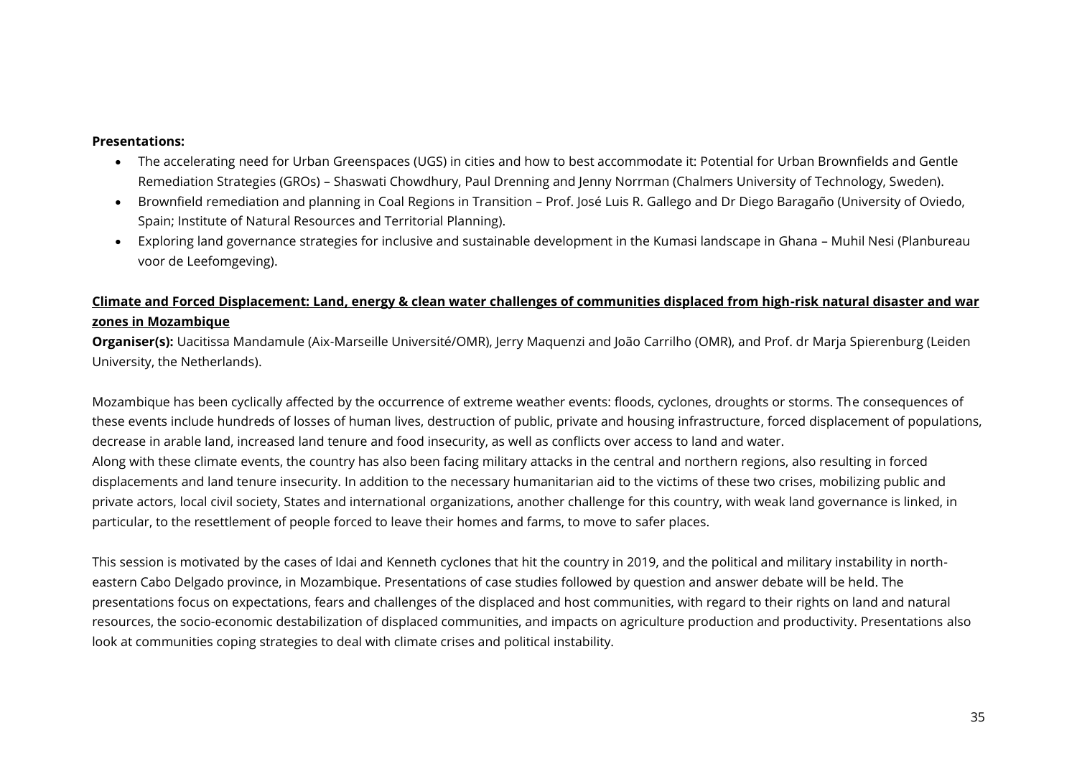- The accelerating need for Urban Greenspaces (UGS) in cities and how to best accommodate it: Potential for Urban Brownfields and Gentle Remediation Strategies (GROs) – Shaswati Chowdhury, Paul Drenning and Jenny Norrman (Chalmers University of Technology, Sweden).
- Brownfield remediation and planning in Coal Regions in Transition Prof. José Luis R. Gallego and Dr Diego Baragaño (University of Oviedo, Spain; Institute of Natural Resources and Territorial Planning).
- Exploring land governance strategies for inclusive and sustainable development in the Kumasi landscape in Ghana Muhil Nesi (Planbureau voor de Leefomgeving).

#### **Climate and Forced Displacement: Land, energy & clean water challenges of communities displaced from high-risk natural disaster and war zones in Mozambique**

**Organiser(s):** Uacitissa Mandamule (Aix-Marseille Université/OMR), Jerry Maquenzi and João Carrilho (OMR), and Prof. dr Marja Spierenburg (Leiden University, the Netherlands).

Mozambique has been cyclically affected by the occurrence of extreme weather events: floods, cyclones, droughts or storms. The consequences of these events include hundreds of losses of human lives, destruction of public, private and housing infrastructure, forced displacement of populations, decrease in arable land, increased land tenure and food insecurity, as well as conflicts over access to land and water. Along with these climate events, the country has also been facing military attacks in the central and northern regions, also resulting in forced displacements and land tenure insecurity. In addition to the necessary humanitarian aid to the victims of these two crises, mobilizing public and private actors, local civil society, States and international organizations, another challenge for this country, with weak land governance is linked, in particular, to the resettlement of people forced to leave their homes and farms, to move to safer places.

This session is motivated by the cases of Idai and Kenneth cyclones that hit the country in 2019, and the political and military instability in northeastern Cabo Delgado province, in Mozambique. Presentations of case studies followed by question and answer debate will be held. The presentations focus on expectations, fears and challenges of the displaced and host communities, with regard to their rights on land and natural resources, the socio-economic destabilization of displaced communities, and impacts on agriculture production and productivity. Presentations also look at communities coping strategies to deal with climate crises and political instability.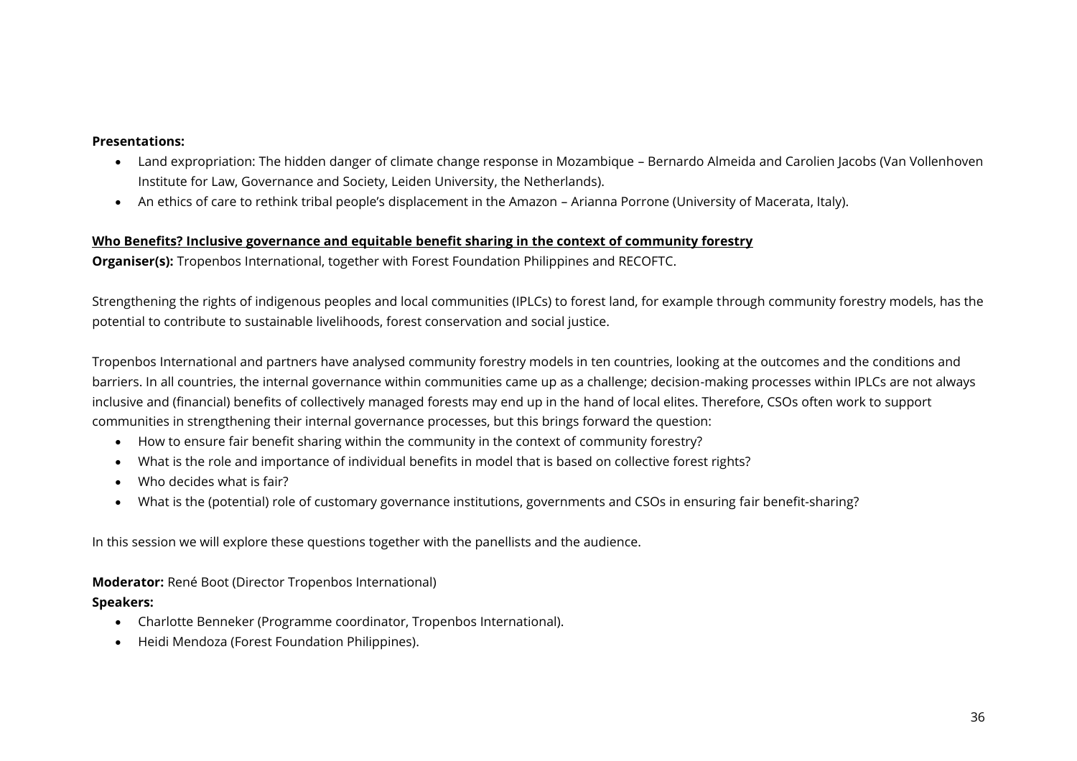- Land expropriation: The hidden danger of climate change response in Mozambique Bernardo Almeida and Carolien Jacobs (Van Vollenhoven Institute for Law, Governance and Society, Leiden University, the Netherlands).
- An ethics of care to rethink tribal people's displacement in the Amazon Arianna Porrone (University of Macerata, Italy).

#### **Who Benefits? Inclusive governance and equitable benefit sharing in the context of community forestry**

**Organiser(s):** Tropenbos International, together with Forest Foundation Philippines and RECOFTC.

Strengthening the rights of indigenous peoples and local communities (IPLCs) to forest land, for example through community forestry models, has the potential to contribute to sustainable livelihoods, forest conservation and social justice.

Tropenbos International and partners have analysed community forestry models in ten countries, looking at the outcomes and the conditions and barriers. In all countries, the internal governance within communities came up as a challenge; decision-making processes within IPLCs are not always inclusive and (financial) benefits of collectively managed forests may end up in the hand of local elites. Therefore, CSOs often work to support communities in strengthening their internal governance processes, but this brings forward the question:

- How to ensure fair benefit sharing within the community in the context of community forestry?
- What is the role and importance of individual benefits in model that is based on collective forest rights?
- Who decides what is fair?
- What is the (potential) role of customary governance institutions, governments and CSOs in ensuring fair benefit-sharing?

In this session we will explore these questions together with the panellists and the audience.

**Moderator:** René Boot (Director Tropenbos International)

#### **Speakers:**

- Charlotte Benneker (Programme coordinator, Tropenbos International).
- Heidi Mendoza (Forest Foundation Philippines).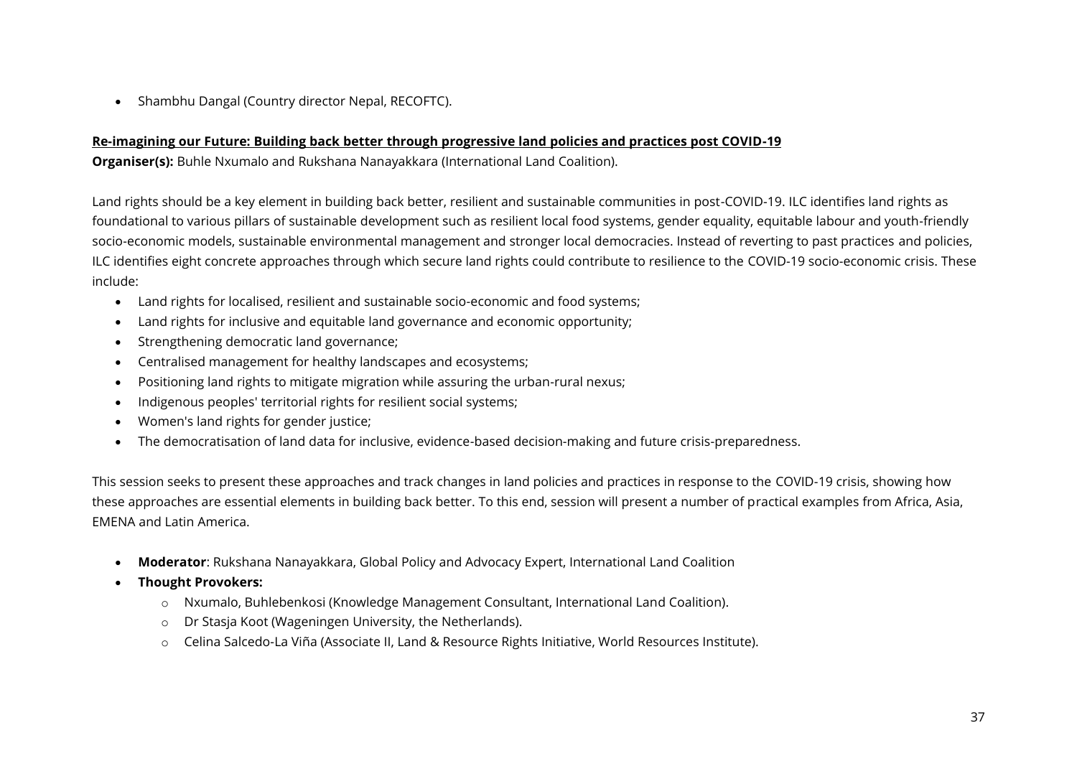• Shambhu Dangal (Country director Nepal, RECOFTC).

#### **Re-imagining our Future: Building back better through progressive land policies and practices post COVID-19**

**Organiser(s):** Buhle Nxumalo and Rukshana Nanayakkara (International Land Coalition).

Land rights should be a key element in building back better, resilient and sustainable communities in post-COVID-19. ILC identifies land rights as foundational to various pillars of sustainable development such as resilient local food systems, gender equality, equitable labour and youth-friendly socio-economic models, sustainable environmental management and stronger local democracies. Instead of reverting to past practices and policies, ILC identifies eight concrete approaches through which secure land rights could contribute to resilience to the COVID-19 socio-economic crisis. These include:

- Land rights for localised, resilient and sustainable socio-economic and food systems;
- Land rights for inclusive and equitable land governance and economic opportunity;
- Strengthening democratic land governance;
- Centralised management for healthy landscapes and ecosystems;
- Positioning land rights to mitigate migration while assuring the urban-rural nexus;
- Indigenous peoples' territorial rights for resilient social systems;
- Women's land rights for gender justice;
- The democratisation of land data for inclusive, evidence-based decision-making and future crisis-preparedness.

This session seeks to present these approaches and track changes in land policies and practices in response to the COVID-19 crisis, showing how these approaches are essential elements in building back better. To this end, session will present a number of practical examples from Africa, Asia, EMENA and Latin America.

- **Moderator**: Rukshana Nanayakkara, Global Policy and Advocacy Expert, International Land Coalition
- **Thought Provokers:** 
	- o Nxumalo, Buhlebenkosi (Knowledge Management Consultant, International Land Coalition).
	- o Dr Stasja Koot (Wageningen University, the Netherlands).
	- o Celina Salcedo-La Viña (Associate II, Land & Resource Rights Initiative, World Resources Institute).